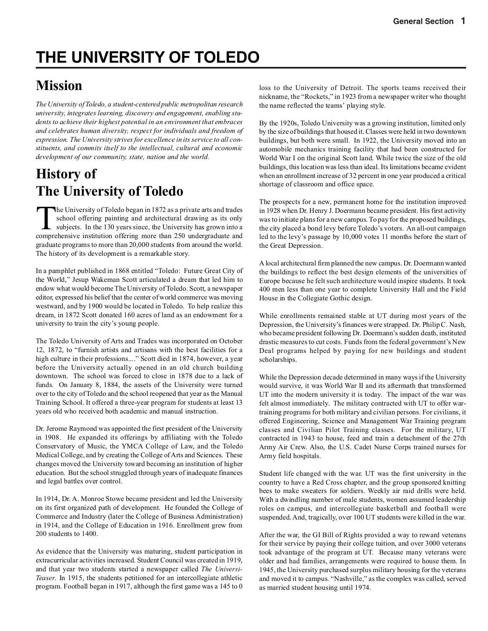# **THE UNIVERSITY OF TOLEDO**

# **Mission**

*The University of Toledo, a student-centered public metropolitan research university, integrates learning, discovery and engagement, enabling students to achieve their highest potential in an environment that embraces and celebrates human diversity, respect for individuals and freedom of expression. The University strives for excellence in its service to all constituents, and commits itself to the intellectual, cultural and economic development of our community, state, nation and the world.*

# **History of The University of Toledo**

The University of Toledo began in 1872 as a private arts and trades<br>school offering painting and architectural drawing as its only<br>subjects. In the 130 years since, the University has grown into a<br>comprehensive institution school offering painting and architectural drawing as its only comprehensive institution offering more than 250 undergraduate and graduate programs to more than 20,000 students from around the world. The history of its development is a remarkable story.

In a pamphlet published in 1868 entitled "Toledo: Future Great City of the World," Jesup Wakeman Scott articulated a dream that led him to endow what would become The University of Toledo. Scott, a newspaper editor, expressed his belief that the center of world commerce was moving westward, and by 1900 would be located in Toledo. To help realize this dream, in 1872 Scott donated 160 acres of land as an endowment for a university to train the city's young people.

The Toledo University of Arts and Trades was incorporated on October 12, 1872, to "furnish artists and artisans with the best facilities for a high culture in their professions...." Scott died in 1874, however, a year before the University actually opened in an old church building downtown. The school was forced to close in 1878 due to a lack of funds. On January 8, 1884, the assets of the University were turned over to the city of Toledo and the school reopened that year as the Manual Training School. It offered a three-year program for students at least 13 years old who received both academic and manual instruction.

Dr. Jerome Raymond was appointed the first president of the University in 1908. He expanded its offerings by affiliating with the Toledo Conservatory of Music, the YMCA College of Law, and the Toledo Medical College, and by creating the College of Arts and Sciences. These changes moved the University toward becoming an institution of higher education. But the school struggled through years of inadequate finances and legal battles over control.

In 1914, Dr. A. Monroe Stowe became president and led the University on its first organized path of development. He founded the College of Commerce and Industry (later the College of Business Administration) in 1914, and the College of Education in 1916. Enrollment grew from 200 students to 1400.

As evidence that the University was maturing, student participation in extracurricular activities increased. Student Council was created in 1919, and that year two students started a newspaper called *The Universi-Teaser*. In 1915, the students petitioned for an intercollegiate athletic program. Football began in 1917, although the first game was a 145 to 0 loss to the University of Detroit. The sports teams received their nickname, the "Rockets," in 1923 from a newspaper writer who thought the name reflected the teams' playing style.

By the 1920s, Toledo University was a growing institution, limited only by the size of buildings that housed it. Classes were held in two downtown buildings, but both were small. In 1922, the University moved into an automobile mechanics training facility that had been constructed for World War I on the original Scott land. While twice the size of the old buildings, this location was less than ideal. Its limitations became evident when an enrollment increase of 32 percent in one year produced a critical shortage of classroom and office space.

The prospects for a new, permanent home for the institution improved in 1928 when Dr. Henry J. Doermann became president. His first activity was to initiate plans for a new campus. To pay for the proposed buildings, the city placed a bond levy before Toledo's voters. An all-out campaign led to the levy's passage by 10,000 votes 11 months before the start of the Great Depression.

A local architectural firm planned the new campus. Dr. Doermann wanted the buildings to reflect the best design elements of the universities of Europe because he felt such architecture would inspire students. It took 400 men less than one year to complete University Hall and the Field House in the Collegiate Gothic design.

While enrollments remained stable at UT during most years of the Depression, the University's finances were strapped. Dr. Philip C. Nash, who became president following Dr. Doermann's sudden death, instituted drastic measures to cut costs. Funds from the federal government's New Deal programs helped by paying for new buildings and student scholarships.

While the Depression decade determined in many ways if the University would survive, it was World War II and its aftermath that transformed UT into the modern university it is today. The impact of the war was felt almost immediately. The military contracted with UT to offer wartraining programs for both military and civilian persons. For civilians, it offered Engineering, Science and Management War Training program classes and Civilian Pilot Training classes. For the military, UT contracted in 1943 to house, feed and train a detachment of the 27th Army Air Crew. Also, the U.S. Cadet Nurse Corps trained nurses for Army field hospitals.

Student life changed with the war. UT was the first university in the country to have a Red Cross chapter, and the group sponsored knitting bees to make sweaters for soldiers. Weekly air raid drills were held. With a dwindling number of male students, women assumed leadership roles on campus, and intercollegiate basketball and football were suspended. And, tragically, over 100 UT students were killed in the war.

After the war, the GI Bill of Rights provided a way to reward veterans for their service by paying their college tuition, and over 3000 veterans took advantage of the program at UT. Because many veterans were older and had families, arrangements were required to house them. In 1945, the University purchased surplus military housing for the veterans and moved it to campus. "Nashville," as the complex was called, served as married student housing until 1974.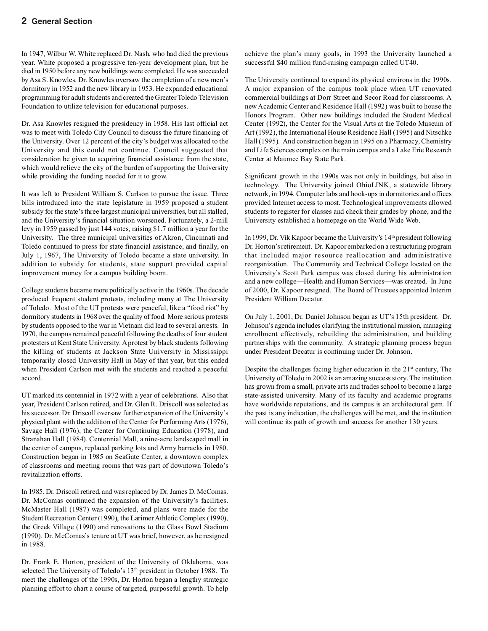In 1947, Wilbur W. White replaced Dr. Nash, who had died the previous year. White proposed a progressive ten-year development plan, but he died in 1950 before any new buildings were completed. He was succeeded by Asa S. Knowles. Dr. Knowles oversaw the completion of a new men's dormitory in 1952 and the new library in 1953. He expanded educational programming for adult students and created the Greater Toledo Television Foundation to utilize television for educational purposes.

Dr. Asa Knowles resigned the presidency in 1958. His last official act was to meet with Toledo City Council to discuss the future financing of the University. Over 12 percent of the city's budget was allocated to the University and this could not continue. Council suggested that consideration be given to acquiring financial assistance from the state, which would relieve the city of the burden of supporting the University while providing the funding needed for it to grow.

It was left to President William S. Carlson to pursue the issue. Three bills introduced into the state legislature in 1959 proposed a student subsidy for the state's three largest municipal universities, but all stalled, and the University's financial situation worsened. Fortunately, a 2-mill levy in 1959 passed by just 144 votes, raising \$1.7 million a year for the University. The three municipal universities of Akron, Cincinnati and Toledo continued to press for state financial assistance, and finally, on July 1, 1967, The University of Toledo became a state university. In addition to subsidy for students, state support provided capital improvement money for a campus building boom.

College students became more politically active in the 1960s. The decade produced frequent student protests, including many at The University of Toledo. Most of the UT protests were peaceful, like a "food riot" by dormitory students in 1968 over the quality of food. More serious protests by students opposed to the war in Vietnam did lead to several arrests. In 1970, the campus remained peaceful following the deaths of four student protesters at Kent State University. A protest by black students following the killing of students at Jackson State University in Mississippi temporarily closed University Hall in May of that year, but this ended when President Carlson met with the students and reached a peaceful accord.

UT marked its centennial in 1972 with a year of celebrations. Also that year, President Carlson retired, and Dr. Glen R. Driscoll was selected as his successor. Dr. Driscoll oversaw further expansion of the University's physical plant with the addition of the Center for Performing Arts (1976), Savage Hall (1976), the Center for Continuing Education (1978), and Stranahan Hall (1984). Centennial Mall, a nine-acre landscaped mall in the center of campus, replaced parking lots and Army barracks in 1980. Construction began in 1985 on SeaGate Center, a downtown complex of classrooms and meeting rooms that was part of downtown Toledo's revitalization efforts.

In 1985, Dr. Driscoll retired, and was replaced by Dr. James D. McComas. Dr. McComas continued the expansion of the University's facilities. McMaster Hall (1987) was completed, and plans were made for the Student Recreation Center (1990), the Larimer Athletic Complex (1990), the Greek Village (1990) and renovations to the Glass Bowl Stadium (1990). Dr. McComas's tenure at UT was brief, however, as he resigned in 1988.

Dr. Frank E. Horton, president of the University of Oklahoma, was selected The University of Toledo's 13<sup>th</sup> president in October 1988. To meet the challenges of the 1990s, Dr. Horton began a lengthy strategic planning effort to chart a course of targeted, purposeful growth. To help

achieve the plan's many goals, in 1993 the University launched a successful \$40 million fund-raising campaign called UT40.

The University continued to expand its physical environs in the 1990s. A major expansion of the campus took place when UT renovated commercial buildings at Dorr Street and Secor Road for classrooms. A new Academic Center and Residence Hall (1992) was built to house the Honors Program. Other new buildings included the Student Medical Center (1992), the Center for the Visual Arts at the Toledo Museum of Art (1992), the International House Residence Hall (1995) and Nitschke Hall (1995). And construction began in 1995 on a Pharmacy, Chemistry and Life Sciences complex on the main campus and a Lake Erie Research Center at Maumee Bay State Park.

Significant growth in the 1990s was not only in buildings, but also in technology. The University joined OhioLINK, a statewide library network, in 1994. Computer labs and hook-ups in dormitories and offices provided Internet access to most. Technological improvements allowed students to register for classes and check their grades by phone, and the University established a homepage on the World Wide Web.

In 1999, Dr. Vik Kapoor became the University's 14<sup>th</sup> president following Dr. Horton's retirement. Dr. Kapoor embarked on a restructuring program that included major resource reallocation and administrative reorganization. The Community and Technical College located on the University's Scott Park campus was closed during his administration and a new college—Health and Human Services—was created. In June of 2000, Dr. Kapoor resigned. The Board of Trustees appointed Interim President William Decatur.

On July 1, 2001, Dr. Daniel Johnson began as UT's 15th president. Dr. Johnson's agenda includes clarifying the institutional mission, managing enrollment effectively, rebuilding the administration, and building partnerships with the community. A strategic planning process begun under President Decatur is continuing under Dr. Johnson.

Despite the challenges facing higher education in the  $21<sup>st</sup>$  century, The University of Toledo in 2002 is an amazing success story. The institution has grown from a small, private arts and trades school to become a large state-assisted university. Many of its faculty and academic programs have worldwide reputations, and its campus is an architectural gem. If the past is any indication, the challenges will be met, and the institution will continue its path of growth and success for another 130 years.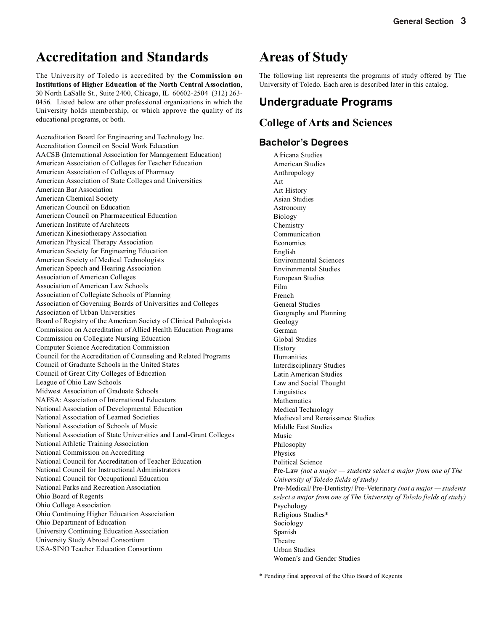# **Accreditation and Standards**

The University of Toledo is accredited by the **Commission on Institutions of Higher Education of the North Central Association**, 30 North LaSalle St., Suite 2400, Chicago, IL 60602-2504 (312) 263- 0456. Listed below are other professional organizations in which the University holds membership, or which approve the quality of its educational programs, or both.

Accreditation Board for Engineering and Technology Inc. Accreditation Council on Social Work Education AACSB (International Association for Management Education) American Association of Colleges for Teacher Education American Association of Colleges of Pharmacy American Association of State Colleges and Universities American Bar Association American Chemical Society American Council on Education American Council on Pharmaceutical Education American Institute of Architects American Kinesiotherapy Association American Physical Therapy Association American Society for Engineering Education American Society of Medical Technologists American Speech and Hearing Association Association of American Colleges Association of American Law Schools Association of Collegiate Schools of Planning Association of Governing Boards of Universities and Colleges Association of Urban Universities Board of Registry of the American Society of Clinical Pathologists Commission on Accreditation of Allied Health Education Programs Commission on Collegiate Nursing Education Computer Science Accreditation Commission Council for the Accreditation of Counseling and Related Programs Council of Graduate Schools in the United States Council of Great City Colleges of Education League of Ohio Law Schools Midwest Association of Graduate Schools NAFSA: Association of International Educators National Association of Developmental Education National Association of Learned Societies National Association of Schools of Music National Association of State Universities and Land-Grant Colleges National Athletic Training Association National Commission on Accrediting National Council for Accreditation of Teacher Education National Council for Instructional Administrators National Council for Occupational Education National Parks and Recreation Association Ohio Board of Regents Ohio College Association Ohio Continuing Higher Education Association Ohio Department of Education University Continuing Education Association University Study Abroad Consortium USA-SINO Teacher Education Consortium

# **Areas of Study**

The following list represents the programs of study offered by The University of Toledo. Each area is described later in this catalog.

### **Undergraduate Programs**

### **College of Arts and Sciences**

### **Bachelor's Degrees**

Africana Studies American Studies Anthropology Art Art History Asian Studies Astronomy Biology Chemistry Communication Economics English Environmental Sciences Environmental Studies European Studies Film French General Studies Geography and Planning Geology German Global Studies **History** Humanities Interdisciplinary Studies Latin American Studies Law and Social Thought Linguistics Mathematics Medical Technology Medieval and Renaissance Studies Middle East Studies Music Philosophy Physics Political Science Pre-Law *(not a major — students select a major from one of The University of Toledo fields of study)* Pre-Medical/ Pre-Dentistry/ Pre-Veterinary *(not a major — students select a major from one of The University of Toledo fields of study)* Psychology Religious Studies\* Sociology Spanish Theatre Urban Studies Women's and Gender Studies

\* Pending final approval of the Ohio Board of Regents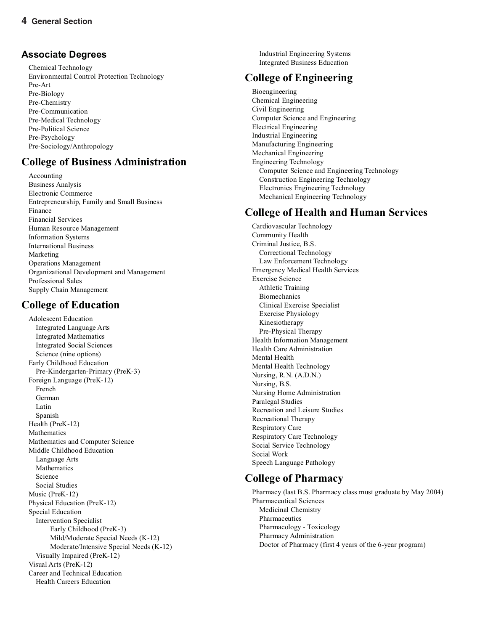### **Associate Degrees**

Chemical Technology Environmental Control Protection Technology Pre-Art Pre-Biology Pre-Chemistry Pre-Communication Pre-Medical Technology Pre-Political Science Pre-Psychology Pre-Sociology/Anthropology

### **College of Business Administration**

Accounting Business Analysis Electronic Commerce Entrepreneurship, Family and Small Business Finance Financial Services Human Resource Management Information Systems International Business Marketing Operations Management Organizational Development and Management Professional Sales Supply Chain Management

### **College of Education**

Adolescent Education Integrated Language Arts Integrated Mathematics Integrated Social Sciences Science (nine options) Early Childhood Education Pre-Kindergarten-Primary (PreK-3) Foreign Language (PreK-12) French German Latin Spanish Health (PreK-12) Mathematics Mathematics and Computer Science Middle Childhood Education Language Arts Mathematics Science Social Studies Music (PreK-12) Physical Education (PreK-12) Special Education Intervention Specialist Early Childhood (PreK-3) Mild/Moderate Special Needs (K-12) Moderate/Intensive Special Needs (K-12) Visually Impaired (PreK-12) Visual Arts (PreK-12) Career and Technical Education Health Careers Education

Industrial Engineering Systems Integrated Business Education

### **College of Engineering**

Bioengineering Chemical Engineering Civil Engineering Computer Science and Engineering Electrical Engineering Industrial Engineering Manufacturing Engineering Mechanical Engineering Engineering Technology Computer Science and Engineering Technology Construction Engineering Technology Electronics Engineering Technology Mechanical Engineering Technology

### **College of Health and Human Services**

Cardiovascular Technology Community Health Criminal Justice, B.S. Correctional Technology Law Enforcement Technology Emergency Medical Health Services Exercise Science Athletic Training Biomechanics Clinical Exercise Specialist Exercise Physiology Kinesiotherapy Pre-Physical Therapy Health Information Management Health Care Administration Mental Health Mental Health Technology Nursing, R.N. (A.D.N.) Nursing, B.S. Nursing Home Administration Paralegal Studies Recreation and Leisure Studies Recreational Therapy Respiratory Care Respiratory Care Technology Social Service Technology Social Work Speech Language Pathology

### **College of Pharmacy**

Pharmacy (last B.S. Pharmacy class must graduate by May 2004) Pharmaceutical Sciences Medicinal Chemistry Pharmaceutics Pharmacology - Toxicology Pharmacy Administration Doctor of Pharmacy (first 4 years of the 6-year program)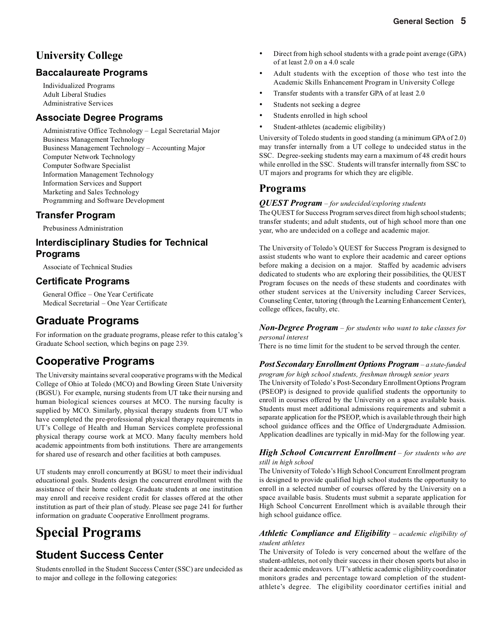### **University College**

### **Baccalaureate Programs**

Individualized Programs Adult Liberal Studies Administrative Services

### **Associate Degree Programs**

Administrative Office Technology – Legal Secretarial Major Business Management Technology Business Management Technology – Accounting Major Computer Network Technology Computer Software Specialist Information Management Technology Information Services and Support Marketing and Sales Technology Programming and Software Development

### **Transfer Program**

Prebusiness Administration

### **Interdisciplinary Studies for Technical Programs**

Associate of Technical Studies

### **Certificate Programs**

General Office – One Year Certificate Medical Secretarial – One Year Certificate

### **Graduate Programs**

For information on the graduate programs, please refer to this catalog's Graduate School section, which begins on page 239.

## **Cooperative Programs**

The University maintains several cooperative programs with the Medical College of Ohio at Toledo (MCO) and Bowling Green State University (BGSU). For example, nursing students from UT take their nursing and human biological sciences courses at MCO. The nursing faculty is supplied by MCO. Similarly, physical therapy students from UT who have completed the pre-professional physical therapy requirements in UT's College of Health and Human Services complete professional physical therapy course work at MCO. Many faculty members hold academic appointments from both institutions. There are arrangements for shared use of research and other facilities at both campuses.

UT students may enroll concurrently at BGSU to meet their individual educational goals. Students design the concurrent enrollment with the assistance of their home college. Graduate students at one institution may enroll and receive resident credit for classes offered at the other institution as part of their plan of study. Please see page 241 for further information on graduate Cooperative Enrollment programs.

# **Special Programs**

### **Student Success Center**

Students enrolled in the Student Success Center (SSC) are undecided as to major and college in the following categories:

- Direct from high school students with a grade point average (GPA) of at least 2.0 on a 4.0 scale
- Adult students with the exception of those who test into the Academic Skills Enhancement Program in University College
- Transfer students with a transfer GPA of at least 2.0
- Students not seeking a degree
- Students enrolled in high school
- Student-athletes (academic eligibility)

University of Toledo students in good standing (a minimum GPA of 2.0) may transfer internally from a UT college to undecided status in the SSC. Degree-seeking students may earn a maximum of 48 credit hours while enrolled in the SSC. Students will transfer internally from SSC to UT majors and programs for which they are eligible.

### **Programs**

### *QUEST Program* – *for undecided/exploring students*

The QUEST for Success Program serves direct from high school students; transfer students; and adult students, out of high school more than one year, who are undecided on a college and academic major.

The University of Toledo's QUEST for Success Program is designed to assist students who want to explore their academic and career options before making a decision on a major. Staffed by academic advisers dedicated to students who are exploring their possibilities, the QUEST Program focuses on the needs of these students and coordinates with other student services at the University including Career Services, Counseling Center, tutoring (through the Learning Enhancement Center), college offices, faculty, etc.

#### *Non-Degree Program* – *for students who want to take classes for personal interest*

There is no time limit for the student to be served through the center.

### *Post Secondary Enrollment Options Program*– *a state-funded*

*program for high school students, freshman through senior years* The University of Toledo's Post-Secondary Enrollment Options Program (PSEOP) is designed to provide qualified students the opportunity to enroll in courses offered by the University on a space available basis. Students must meet additional admissions requirements and submit a separate application for the PSEOP, which is available through their high school guidance offices and the Office of Undergraduate Admission. Application deadlines are typically in mid-May for the following year.

### *High School Concurrent Enrollment* – *for students who are still in high school*

The University of Toledo's High School Concurrent Enrollment program is designed to provide qualified high school students the opportunity to enroll in a selected number of courses offered by the University on a space available basis. Students must submit a separate application for High School Concurrent Enrollment which is available through their high school guidance office.

### *Athletic Compliance and Eligibility* – *academic eligibility of student athletes*

The University of Toledo is very concerned about the welfare of the student-athletes, not only their success in their chosen sports but also in their academic endeavors. UT's athletic academic eligibility coordinator monitors grades and percentage toward completion of the studentathlete's degree. The eligibility coordinator certifies initial and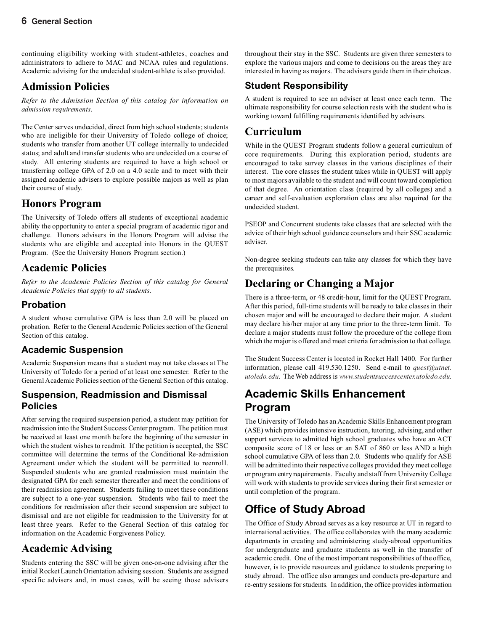continuing eligibility working with student-athletes, coaches and administrators to adhere to MAC and NCAA rules and regulations. Academic advising for the undecided student-athlete is also provided.

### **Admission Policies**

*Refer to the Admission Section of this catalog for information on admission requirements.*

The Center serves undecided, direct from high school students; students who are ineligible for their University of Toledo college of choice; students who transfer from another UT college internally to undecided status; and adult and transfer students who are undecided on a course of study. All entering students are required to have a high school or transferring college GPA of 2.0 on a 4.0 scale and to meet with their assigned academic advisers to explore possible majors as well as plan their course of study.

### **Honors Program**

The University of Toledo offers all students of exceptional academic ability the opportunity to enter a special program of academic rigor and challenge. Honors advisers in the Honors Program will advise the students who are eligible and accepted into Honors in the QUEST Program. (See the University Honors Program section.)

### **Academic Policies**

*Refer to the Academic Policies Section of this catalog for General Academic Policies that apply to all students.*

### **Probation**

A student whose cumulative GPA is less than 2.0 will be placed on probation. Refer to the General Academic Policies section of the General Section of this catalog.

### **Academic Suspension**

Academic Suspension means that a student may not take classes at The University of Toledo for a period of at least one semester. Refer to the General Academic Policies section of the General Section of this catalog.

### **Suspension, Readmission and Dismissal Policies**

After serving the required suspension period, a student may petition for readmission into the Student Success Center program. The petition must be received at least one month before the beginning of the semester in which the student wishes to readmit. If the petition is accepted, the SSC committee will determine the terms of the Conditional Re-admission Agreement under which the student will be permitted to reenroll. Suspended students who are granted readmission must maintain the designated GPA for each semester thereafter and meet the conditions of their readmission agreement. Students failing to meet these conditions are subject to a one-year suspension. Students who fail to meet the conditions for readmission after their second suspension are subject to dismissal and are not eligible for readmission to the University for at least three years. Refer to the General Section of this catalog for information on the Academic Forgiveness Policy.

### **Academic Advising**

Students entering the SSC will be given one-on-one advising after the initial Rocket Launch Orientation advising session. Students are assigned specific advisers and, in most cases, will be seeing those advisers throughout their stay in the SSC. Students are given three semesters to explore the various majors and come to decisions on the areas they are interested in having as majors. The advisers guide them in their choices.

### **Student Responsibility**

A student is required to see an adviser at least once each term. The ultimate responsibility for course selection rests with the student who is working toward fulfilling requirements identified by advisers.

### **Curriculum**

While in the QUEST Program students follow a general curriculum of core requirements. During this exploration period, students are encouraged to take survey classes in the various disciplines of their interest. The core classes the student takes while in QUEST will apply to most majors available to the student and will count toward completion of that degree. An orientation class (required by all colleges) and a career and self-evaluation exploration class are also required for the undecided student.

PSEOP and Concurrent students take classes that are selected with the advice of their high school guidance counselors and their SSC academic adviser.

Non-degree seeking students can take any classes for which they have the prerequisites.

## **Declaring or Changing a Major**

There is a three-term, or 48 credit-hour, limit for the QUEST Program. After this period, full-time students will be ready to take classes in their chosen major and will be encouraged to declare their major. A student may declare his/her major at any time prior to the three-term limit. To declare a major students must follow the procedure of the college from which the major is offered and meet criteria for admission to that college.

The Student Success Center is located in Rocket Hall 1400. For further information, please call 419.530.1250. Send e-mail to *quest@utnet. utoledo.edu*. The Web address is *www.studentsuccesscenter.utoledo.edu*.

## **Academic Skills Enhancement Program**

The University of Toledo has an Academic Skills Enhancement program (ASE) which provides intensive instruction, tutoring, advising, and other support services to admitted high school graduates who have an ACT composite score of 18 or less or an SAT of 860 or less AND a high school cumulative GPA of less than 2.0. Students who qualify for ASE will be admitted into their respective colleges provided they meet college or program entry requirements. Faculty and staff from University College will work with students to provide services during their first semester or until completion of the program.

# **Office of Study Abroad**

The Office of Study Abroad serves as a key resource at UT in regard to international activities. The office collaborates with the many academic departments in creating and administering study-abroad opportunities for undergraduate and graduate students as well in the transfer of academic credit. One of the most important responsibilities of the office, however, is to provide resources and guidance to students preparing to study abroad. The office also arranges and conducts pre-departure and re-entry sessions for students. In addition, the office provides information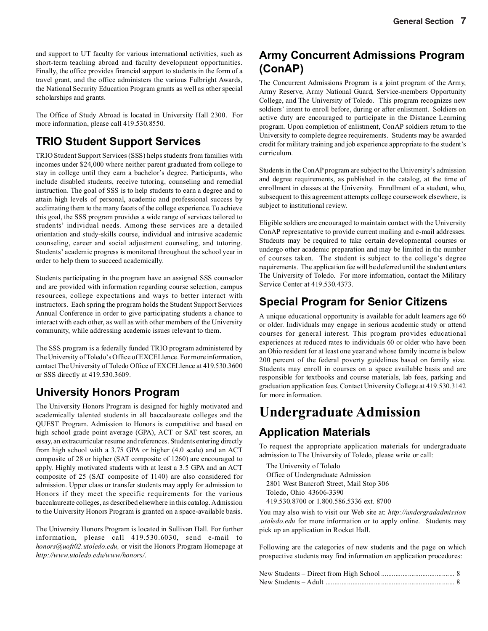and support to UT faculty for various international activities, such as short-term teaching abroad and faculty development opportunities. Finally, the office provides financial support to students in the form of a travel grant, and the office administers the various Fulbright Awards, the National Security Education Program grants as well as other special scholarships and grants.

The Office of Study Abroad is located in University Hall 2300. For more information, please call 419.530.8550.

## **TRIO Student Support Services**

TRIO Student Support Services (SSS) helps students from families with incomes under \$24,000 where neither parent graduated from college to stay in college until they earn a bachelor's degree. Participants, who include disabled students, receive tutoring, counseling and remedial instruction. The goal of SSS is to help students to earn a degree and to attain high levels of personal, academic and professional success by acclimating them to the many facets of the college experience. To achieve this goal, the SSS program provides a wide range of services tailored to students' individual needs. Among these services are a detailed orientation and study-skills course, individual and intrusive academic counseling, career and social adjustment counseling, and tutoring. Students' academic progress is monitored throughout the school year in order to help them to succeed academically.

Students participating in the program have an assigned SSS counselor and are provided with information regarding course selection, campus resources, college expectations and ways to better interact with instructors. Each spring the program holds the Student Support Services Annual Conference in order to give participating students a chance to interact with each other, as well as with other members of the University community, while addressing academic issues relevant to them.

The SSS program is a federally funded TRIO program administered by The University of Toledo's Office of EXCELlence. For more information, contact The University of Toledo Office of EXCELlence at 419.530.3600 or SSS directly at 419.530.3609.

## **University Honors Program**

The University Honors Program is designed for highly motivated and academically talented students in all baccalaureate colleges and the QUEST Program. Admission to Honors is competitive and based on high school grade point average (GPA), ACT or SAT test scores, an essay, an extracurricular resume and references. Students entering directly from high school with a 3.75 GPA or higher (4.0 scale) and an ACT composite of 28 or higher (SAT composite of 1260) are encouraged to apply. Highly motivated students with at least a 3.5 GPA and an ACT composite of 25 (SAT composite of 1140) are also considered for admission. Upper class or transfer students may apply for admission to Honors if they meet the specific requirements for the various baccalaureate colleges, as described elsewhere in this catalog. Admission to the University Honors Program is granted on a space-available basis.

The University Honors Program is located in Sullivan Hall. For further information, please call 419.530.6030, send e-mail to *honors@uoft02.utoledo.edu,* or visit the Honors Program Homepage at *http://www.utoledo.edu/www/honors/*.

## **Army Concurrent Admissions Program (ConAP)**

The Concurrent Admissions Program is a joint program of the Army, Army Reserve, Army National Guard, Service-members Opportunity College, and The University of Toledo. This program recognizes new soldiers' intent to enroll before, during or after enlistment. Soldiers on active duty are encouraged to participate in the Distance Learning program. Upon completion of enlistment, ConAP soldiers return to the University to complete degree requirements. Students may be awarded credit for military training and job experience appropriate to the student's curriculum.

Students in the ConAP program are subject to the University's admission and degree requirements, as published in the catalog, at the time of enrollment in classes at the University. Enrollment of a student, who, subsequent to this agreement attempts college coursework elsewhere, is subject to institutional review.

Eligible soldiers are encouraged to maintain contact with the University ConAP representative to provide current mailing and e-mail addresses. Students may be required to take certain developmental courses or undergo other academic preparation and may be limited in the number of courses taken. The student is subject to the college's degree requirements. The application fee will be deferred until the student enters The University of Toledo. For more information, contact the Military Service Center at 419.530.4373.

## **Special Program for Senior Citizens**

A unique educational opportunity is available for adult learners age 60 or older. Individuals may engage in serious academic study or attend courses for general interest. This program provides educational experiences at reduced rates to individuals 60 or older who have been an Ohio resident for at least one year and whose family income is below 200 percent of the federal poverty guidelines based on family size. Students may enroll in courses on a space available basis and are responsible for textbooks and course materials, lab fees, parking and graduation application fees. Contact University College at 419.530.3142 for more information.

# **Undergraduate Admission**

### **Application Materials**

To request the appropriate application materials for undergraduate admission to The University of Toledo, please write or call:

The University of Toledo Office of Undergraduate Admission 2801 West Bancroft Street, Mail Stop 306 Toledo, Ohio 43606-3390 419.530.8700 or 1.800.586.5336 ext. 8700

You may also wish to visit our Web site at: *http://undergradadmission .utoledo.edu* for more information or to apply online. Students may pick up an application in Rocket Hall.

Following are the categories of new students and the page on which prospective students may find information on application procedures: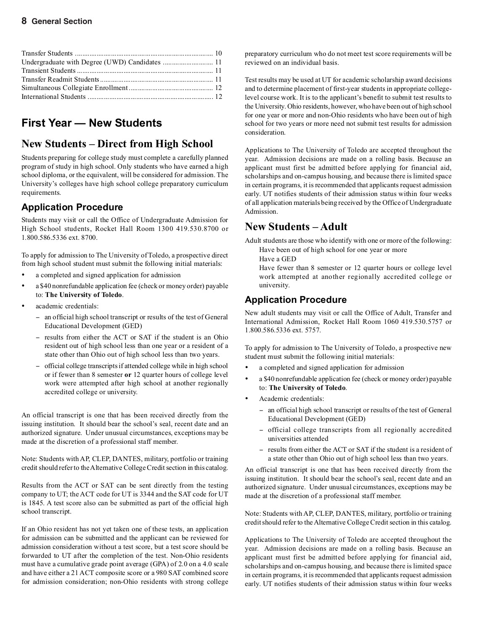## **First Year — New Students**

### **New Students – Direct from High School**

Students preparing for college study must complete a carefully planned program of study in high school. Only students who have earned a high school diploma, or the equivalent, will be considered for admission. The University's colleges have high school college preparatory curriculum requirements.

### **Application Procedure**

Students may visit or call the Office of Undergraduate Admission for High School students, Rocket Hall Room 1300 419.530.8700 or 1.800.586.5336 ext. 8700.

To apply for admission to The University of Toledo, a prospective direct from high school student must submit the following initial materials:

- a completed and signed application for admission
- a \$40 nonrefundable application fee (check or money order) payable to: **The University of Toledo**.
- academic credentials:
	- − an official high school transcript or results of the test of General Educational Development (GED)
	- − results from either the ACT or SAT if the student is an Ohio resident out of high school less than one year or a resident of a state other than Ohio out of high school less than two years.
	- − official college transcripts if attended college while in high school or if fewer than 8 semester **or** 12 quarter hours of college level work were attempted after high school at another regionally accredited college or university.

An official transcript is one that has been received directly from the issuing institution. It should bear the school's seal, recent date and an authorized signature. Under unusual circumstances, exceptions may be made at the discretion of a professional staff member.

Note: Students with AP, CLEP, DANTES, military, portfolio or training credit should refer to the Alternative College Credit section in this catalog.

Results from the ACT or SAT can be sent directly from the testing company to UT; the ACT code for UT is 3344 and the SAT code for UT is 1845. A test score also can be submitted as part of the official high school transcript.

If an Ohio resident has not yet taken one of these tests, an application for admission can be submitted and the applicant can be reviewed for admission consideration without a test score, but a test score should be forwarded to UT after the completion of the test. Non-Ohio residents must have a cumulative grade point average (GPA) of 2.0 on a 4.0 scale and have either a 21 ACT composite score or a 980 SAT combined score for admission consideration; non-Ohio residents with strong college

preparatory curriculum who do not meet test score requirements will be reviewed on an individual basis.

Test results may be used at UT for academic scholarship award decisions and to determine placement of first-year students in appropriate collegelevel course work. It is to the applicant's benefit to submit test results to the University. Ohio residents, however, who have been out of high school for one year or more and non-Ohio residents who have been out of high school for two years or more need not submit test results for admission consideration.

Applications to The University of Toledo are accepted throughout the year. Admission decisions are made on a rolling basis. Because an applicant must first be admitted before applying for financial aid, scholarships and on-campus housing, and because there is limited space in certain programs, it is recommended that applicants request admission early. UT notifies students of their admission status within four weeks of all application materials being received by the Office of Undergraduate Admission.

### **New Students – Adult**

Adult students are those who identify with one or more of the following:

- Have been out of high school for one year or more
- Have a GED

Have fewer than 8 semester or 12 quarter hours or college level work attempted at another regionally accredited college or university.

### **Application Procedure**

New adult students may visit or call the Office of Adult, Transfer and International Admission, Rocket Hall Room 1060 419.530.5757 or 1.800.586.5336 ext. 5757.

To apply for admission to The University of Toledo, a prospective new student must submit the following initial materials:

- a completed and signed application for admission
- a \$40 nonrefundable application fee (check or money order) payable to: **The University of Toledo**.
- Academic credentials:
	- − an official high school transcript or results of the test of General Educational Development (GED)
	- − official college transcripts from all regionally accredited universities attended
	- − results from either the ACT or SAT if the student is a resident of a state other than Ohio out of high school less than two years.

An official transcript is one that has been received directly from the issuing institution. It should bear the school's seal, recent date and an authorized signature. Under unusual circumstances, exceptions may be made at the discretion of a professional staff member.

Note: Students with AP, CLEP, DANTES, military, portfolio or training credit should refer to the Alternative College Credit section in this catalog.

Applications to The University of Toledo are accepted throughout the year. Admission decisions are made on a rolling basis. Because an applicant must first be admitted before applying for financial aid, scholarships and on-campus housing, and because there is limited space in certain programs, it is recommended that applicants request admission early. UT notifies students of their admission status within four weeks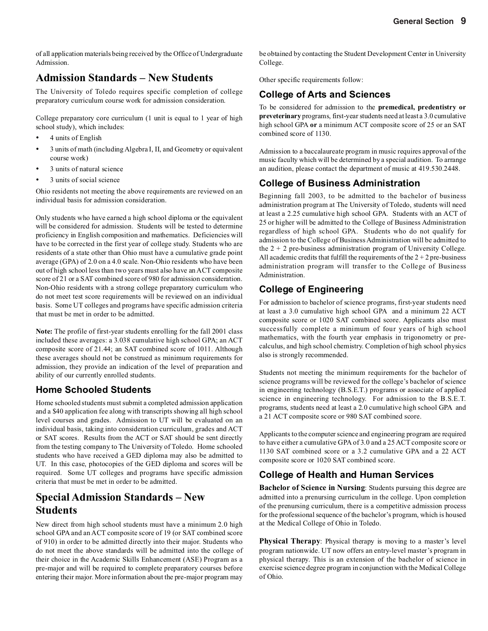of all application materials being received by the Office of Undergraduate Admission.

### **Admission Standards – New Students**

The University of Toledo requires specific completion of college preparatory curriculum course work for admission consideration.

College preparatory core curriculum (1 unit is equal to 1 year of high school study), which includes:

- 4 units of English
- 3 units of math (including Algebra I, II, and Geometry or equivalent course work)
- 3 units of natural science
- 3 units of social science

Ohio residents not meeting the above requirements are reviewed on an individual basis for admission consideration.

Only students who have earned a high school diploma or the equivalent will be considered for admission. Students will be tested to determine proficiency in English composition and mathematics. Deficiencies will have to be corrected in the first year of college study. Students who are residents of a state other than Ohio must have a cumulative grade point average (GPA) of 2.0 on a 4.0 scale. Non-Ohio residents who have been out of high school less than two years must also have an ACT composite score of 21 or a SAT combined score of 980 for admission consideration. Non-Ohio residents with a strong college preparatory curriculum who do not meet test score requirements will be reviewed on an individual basis. Some UT colleges and programs have specific admission criteria that must be met in order to be admitted.

**Note:** The profile of first-year students enrolling for the fall 2001 class included these averages: a 3.038 cumulative high school GPA; an ACT composite score of 21.44; an SAT combined score of 1011. Although these averages should not be construed as minimum requirements for admission, they provide an indication of the level of preparation and ability of our currently enrolled students.

### **Home Schooled Students**

Home schooled students must submit a completed admission application and a \$40 application fee along with transcripts showing all high school level courses and grades. Admission to UT will be evaluated on an individual basis, taking into consideration curriculum, grades and ACT or SAT scores. Results from the ACT or SAT should be sent directly from the testing company to The University of Toledo. Home schooled students who have received a GED diploma may also be admitted to UT. In this case, photocopies of the GED diploma and scores will be required. Some UT colleges and programs have specific admission criteria that must be met in order to be admitted.

### **Special Admission Standards – New Students**

New direct from high school students must have a minimum 2.0 high school GPA and an ACT composite score of 19 (or SAT combined score of 910) in order to be admitted directly into their major. Students who do not meet the above standards will be admitted into the college of their choice in the Academic Skills Enhancement (ASE) Program as a pre-major and will be required to complete preparatory courses before entering their major. More information about the pre-major program may be obtained by contacting the Student Development Center in University College.

Other specific requirements follow:

### **College of Arts and Sciences**

To be considered for admission to the **premedical, predentistry or preveterinary** programs, first-year students need at least a 3.0 cumulative high school GPA **or** a minimum ACT composite score of 25 or an SAT combined score of 1130.

Admission to a baccalaureate program in music requires approval of the music faculty which will be determined by a special audition. To arrange an audition, please contact the department of music at 419.530.2448.

### **College of Business Administration**

Beginning fall 2003, to be admitted to the bachelor of business administration program at The University of Toledo, students will need at least a 2.25 cumulative high school GPA. Students with an ACT of 25 or higher will be admitted to the College of Business Administration regardless of high school GPA. Students who do not qualify for admission to the College of Business Administration will be admitted to the  $2 + 2$  pre-business administration program of University College. All academic credits that fulfill the requirements of the  $2 + 2$  pre-business administration program will transfer to the College of Business Administration.

### **College of Engineering**

For admission to bachelor of science programs, first-year students need at least a 3.0 cumulative high school GPA and a minimum 22 ACT composite score or 1020 SAT combined score. Applicants also must successfully complete a minimum of four years of high school mathematics, with the fourth year emphasis in trigonometry or precalculus, and high school chemistry. Completion of high school physics also is strongly recommended.

Students not meeting the minimum requirements for the bachelor of science programs will be reviewed for the college's bachelor of science in engineering technology (B.S.E.T.) programs or associate of applied science in engineering technology. For admission to the B.S.E.T. programs, students need at least a 2.0 cumulative high school GPA and a 21 ACT composite score or 980 SAT combined score.

Applicants to the computer science and engineering program are required to have either a cumulative GPA of 3.0 and a 25 ACT composite score or 1130 SAT combined score or a 3.2 cumulative GPA and a 22 ACT composite score or 1020 SAT combined score.

### **College of Health and Human Services**

**Bachelor of Science in Nursing**: Students pursuing this degree are admitted into a prenursing curriculum in the college. Upon completion of the prenursing curriculum, there is a competitive admission process for the professional sequence of the bachelor's program, which is housed at the Medical College of Ohio in Toledo.

**Physical Therapy**: Physical therapy is moving to a master's level program nationwide. UT now offers an entry-level master's program in physical therapy. This is an extension of the bachelor of science in exercise science degree program in conjunction with the Medical College of Ohio.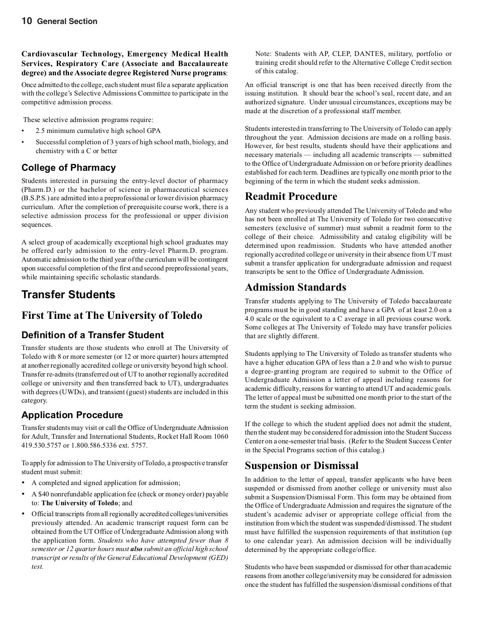### **Cardiovascular Technology, Emergency Medical Health Services, Respiratory Care (Associate and Baccalaureate degree) and the Associate degree Registered Nurse programs**:

Once admitted to the college, each student must file a separate application with the college's Selective Admissions Committee to participate in the competitive admission process.

These selective admission programs require:

- 2.5 minimum cumulative high school GPA
- Successful completion of 3 years of high school math, biology, and chemistry with a C or better

### **College of Pharmacy**

Students interested in pursuing the entry-level doctor of pharmacy (Pharm.D.) or the bachelor of science in pharmaceutical sciences (B.S.P.S.) are admitted into a preprofessional or lower division pharmacy curriculum. After the completion of prerequisite course work, there is a selective admission process for the professional or upper division sequences.

A select group of academically exceptional high school graduates may be offered early admission to the entry-level Pharm.D. program. Automatic admission to the third year of the curriculum will be contingent upon successful completion of the first and second preprofessional years, while maintaining specific scholastic standards.

## **Transfer Students**

### **First Time at The University of Toledo**

### **Definition of a Transfer Student**

Transfer students are those students who enroll at The University of Toledo with 8 or more semester (or 12 or more quarter) hours attempted at another regionally accredited college or university beyond high school. Transfer re-admits (transferred out of UT to another regionally accredited college or university and then transferred back to UT), undergraduates with degrees (UWDs), and transient (guest) students are included in this category.

### **Application Procedure**

Transfer students may visit or call the Office of Undergraduate Admission for Adult, Transfer and International Students, Rocket Hall Room 1060 419.530.5757 or 1.800.586.5336 ext. 5757.

To apply for admission to The University of Toledo, a prospective transfer student must submit:

- A completed and signed application for admission;
- A \$40 nonrefundable application fee (check or money order) payable to: **The University of Toledo**; and
- Official transcripts from all regionally accredited colleges/universities previously attended. An academic transcript request form can be obtained from the UT Office of Undergraduate Admission along with the application form. *Students who have attempted fewer than 8 semester or 12 quarter hours must also submit an official high school transcript or results of the General Educational Development (GED) test.*

Note: Students with AP, CLEP, DANTES, military, portfolio or training credit should refer to the Alternative College Credit section of this catalog.

An official transcript is one that has been received directly from the issuing institution. It should bear the school's seal, recent date, and an authorized signature. Under unusual circumstances, exceptions may be made at the discretion of a professional staff member.

Students interested in transferring to The University of Toledo can apply throughout the year. Admission decisions are made on a rolling basis. However, for best results, students should have their applications and necessary materials — including all academic transcripts — submitted to the Office of Undergraduate Admission on or before priority deadlines established for each term. Deadlines are typically one month prior to the beginning of the term in which the student seeks admission.

### **Readmit Procedure**

Any student who previously attended The University of Toledo and who has not been enrolled at The University of Toledo for two consecutive semesters (exclusive of summer) must submit a readmit form to the college of their choice. Admissibility and catalog eligibility will be determined upon readmission. Students who have attended another regionally accredited college or university in their absence from UT must submit a transfer application for undergraduate admission and request transcripts be sent to the Office of Undergraduate Admission.

### **Admission Standards**

Transfer students applying to The University of Toledo baccalaureate programs must be in good standing and have a GPA of at least 2.0 on a 4.0 scale or the equivalent to a C average in all previous course work. Some colleges at The University of Toledo may have transfer policies that are slightly different.

Students applying to The University of Toledo as transfer students who have a higher education GPA of less than a 2.0 and who wish to pursue a degree-granting program are required to submit to the Office of Undergraduate Admission a letter of appeal including reasons for academic difficulty, reasons for wanting to attend UT and academic goals. The letter of appeal must be submitted one month prior to the start of the term the student is seeking admission.

If the college to which the student applied does not admit the student, then the student may be considered for admission into the Student Success Center on a one-semester trial basis. (Refer to the Student Success Center in the Special Programs section of this catalog.)

### **Suspension or Dismissal**

In addition to the letter of appeal, transfer applicants who have been suspended or dismissed from another college or university must also submit a Suspension/Dismissal Form. This form may be obtained from the Office of Undergraduate Admission and requires the signature of the student's academic adviser or appropriate college official from the institution from which the student was suspended/dismissed. The student must have fulfilled the suspension requirements of that institution (up to one calendar year). An admission decision will be individually determined by the appropriate college/office.

Students who have been suspended or dismissed for other than academic reasons from another college/university may be considered for admission once the student has fulfilled the suspension/dismissal conditions of that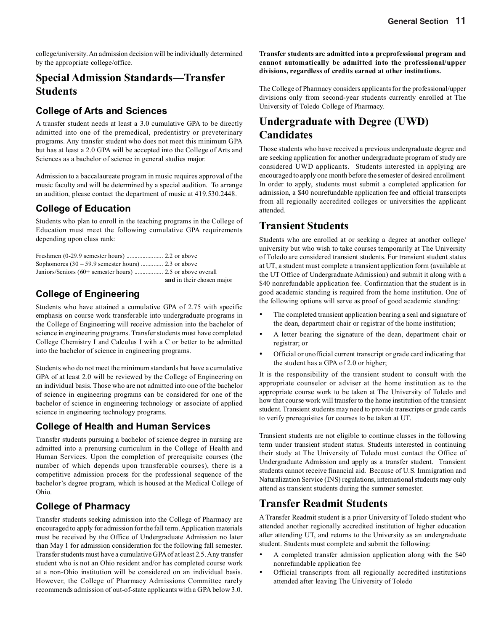college/university. An admission decision will be individually determined by the appropriate college/office.

### **Special Admission Standards—Transfer Students**

### **College of Arts and Sciences**

A transfer student needs at least a 3.0 cumulative GPA to be directly admitted into one of the premedical, predentistry or preveterinary programs. Any transfer student who does not meet this minimum GPA but has at least a 2.0 GPA will be accepted into the College of Arts and Sciences as a bachelor of science in general studies major.

Admission to a baccalaureate program in music requires approval of the music faculty and will be determined by a special audition. To arrange an audition, please contact the department of music at 419.530.2448.

### **College of Education**

Students who plan to enroll in the teaching programs in the College of Education must meet the following cumulative GPA requirements depending upon class rank:

| Sophomores $(30 - 59.9$ semester hours)  2.3 or above |                           |
|-------------------------------------------------------|---------------------------|
|                                                       |                           |
|                                                       | and in their chosen major |

### **College of Engineering**

Students who have attained a cumulative GPA of 2.75 with specific emphasis on course work transferable into undergraduate programs in the College of Engineering will receive admission into the bachelor of science in engineering programs. Transfer students must have completed College Chemistry I and Calculus I with a C or better to be admitted into the bachelor of science in engineering programs.

Students who do not meet the minimum standards but have a cumulative GPA of at least 2.0 will be reviewed by the College of Engineering on an individual basis. Those who are not admitted into one of the bachelor of science in engineering programs can be considered for one of the bachelor of science in engineering technology or associate of applied science in engineering technology programs.

### **College of Health and Human Services**

Transfer students pursuing a bachelor of science degree in nursing are admitted into a prenursing curriculum in the College of Health and Human Services. Upon the completion of prerequisite courses (the number of which depends upon transferable courses), there is a competitive admission process for the professional sequence of the bachelor's degree program, which is housed at the Medical College of Ohio.

### **College of Pharmacy**

Transfer students seeking admission into the College of Pharmacy are encouraged to apply for admission for the fall term. Application materials must be received by the Office of Undergraduate Admission no later than May 1 for admission consideration for the following fall semester. Transfer students must have a cumulative GPA of at least 2.5. Any transfer student who is not an Ohio resident and/or has completed course work at a non-Ohio institution will be considered on an individual basis. However, the College of Pharmacy Admissions Committee rarely recommends admission of out-of-state applicants with a GPA below 3.0.

**Transfer students are admitted into a preprofessional program and cannot automatically be admitted into the professional/upper divisions, regardless of credits earned at other institutions.**

The College of Pharmacy considers applicants for the professional/upper divisions only from second-year students currently enrolled at The University of Toledo College of Pharmacy.

## **Undergraduate with Degree (UWD) Candidates**

Those students who have received a previous undergraduate degree and are seeking application for another undergraduate program of study are considered UWD applicants. Students interested in applying are encouraged to apply one month before the semester of desired enrollment. In order to apply, students must submit a completed application for admission, a \$40 nonrefundable application fee and official transcripts from all regionally accredited colleges or universities the applicant attended.

### **Transient Students**

Students who are enrolled at or seeking a degree at another college/ university but who wish to take courses temporarily at The University of Toledo are considered transient students. For transient student status at UT, a student must complete a transient application form (available at the UT Office of Undergraduate Admission) and submit it along with a \$40 nonrefundable application fee. Confirmation that the student is in good academic standing is required from the home institution. One of the following options will serve as proof of good academic standing:

- The completed transient application bearing a seal and signature of the dean, department chair or registrar of the home institution;
- A letter bearing the signature of the dean, department chair or registrar; or
- Official or unofficial current transcript or grade card indicating that the student has a GPA of 2.0 or higher;

It is the responsibility of the transient student to consult with the appropriate counselor or adviser at the home institution as to the appropriate course work to be taken at The University of Toledo and how that course work will transfer to the home institution of the transient student. Transient students may need to provide transcripts or grade cards to verify prerequisites for courses to be taken at UT.

Transient students are not eligible to continue classes in the following term under transient student status. Students interested in continuing their study at The University of Toledo must contact the Office of Undergraduate Admission and apply as a transfer student. Transient students cannot receive financial aid. Because of U.S. Immigration and Naturalization Service (INS) regulations, international students may only attend as transient students during the summer semester.

### **Transfer Readmit Students**

A Transfer Readmit student is a prior University of Toledo student who attended another regionally accredited institution of higher education after attending UT, and returns to the University as an undergraduate student. Students must complete and submit the following:

- A completed transfer admission application along with the \$40 nonrefundable application fee
- Official transcripts from all regionally accredited institutions attended after leaving The University of Toledo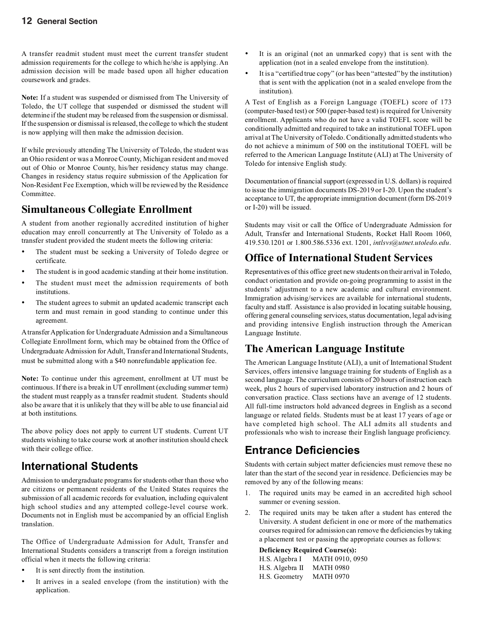A transfer readmit student must meet the current transfer student admission requirements for the college to which he/she is applying. An admission decision will be made based upon all higher education coursework and grades.

**Note:** If a student was suspended or dismissed from The University of Toledo, the UT college that suspended or dismissed the student will determine if the student may be released from the suspension or dismissal. If the suspension or dismissal is released, the college to which the student is now applying will then make the admission decision.

If while previously attending The University of Toledo, the student was an Ohio resident or was a Monroe County, Michigan resident and moved out of Ohio or Monroe County, his/her residency status may change. Changes in residency status require submission of the Application for Non-Resident Fee Exemption, which will be reviewed by the Residence Committee.

### **Simultaneous Collegiate Enrollment**

A student from another regionally accredited institution of higher education may enroll concurrently at The University of Toledo as a transfer student provided the student meets the following criteria:

- The student must be seeking a University of Toledo degree or certificate.
- The student is in good academic standing at their home institution.
- The student must meet the admission requirements of both institutions.
- The student agrees to submit an updated academic transcript each term and must remain in good standing to continue under this agreement.

A transfer Application for Undergraduate Admission and a Simultaneous Collegiate Enrollment form, which may be obtained from the Office of Undergraduate Admission for Adult, Transfer and International Students, must be submitted along with a \$40 nonrefundable application fee.

**Note:** To continue under this agreement, enrollment at UT must be continuous. If there is a break in UT enrollment (excluding summer term) the student must reapply as a transfer readmit student. Students should also be aware that it is unlikely that they will be able to use financial aid at both institutions.

The above policy does not apply to current UT students. Current UT students wishing to take course work at another institution should check with their college office.

## **International Students**

Admission to undergraduate programs for students other than those who are citizens or permanent residents of the United States requires the submission of all academic records for evaluation, including equivalent high school studies and any attempted college-level course work. Documents not in English must be accompanied by an official English translation.

The Office of Undergraduate Admission for Adult, Transfer and International Students considers a transcript from a foreign institution official when it meets the following criteria:

- It is sent directly from the institution.
- It arrives in a sealed envelope (from the institution) with the application.
- It is an original (not an unmarked copy) that is sent with the application (not in a sealed envelope from the institution).
- It is a "certified true copy" (or has been "attested" by the institution) that is sent with the application (not in a sealed envelope from the institution).

A Test of English as a Foreign Language (TOEFL) score of 173 (computer-based test) or 500 (paper-based test) is required for University enrollment. Applicants who do not have a valid TOEFL score will be conditionally admitted and required to take an institutional TOEFL upon arrival at The University of Toledo. Conditionally admitted students who do not achieve a minimum of 500 on the institutional TOEFL will be referred to the American Language Institute (ALI) at The University of Toledo for intensive English study.

Documentation of financial support (expressed in U.S. dollars) is required to issue the immigration documents DS-2019 or I-20. Upon the student's acceptance to UT, the appropriate immigration document (form DS-2019 or I-20) will be issued.

Students may visit or call the Office of Undergraduate Admission for Adult, Transfer and International Students, Rocket Hall Room 1060, 419.530.1201 or 1.800.586.5336 ext. 1201, *intlsvs@utnet.utoledo.edu*.

### **Office of International Student Services**

Representatives of this office greet new students on their arrival in Toledo, conduct orientation and provide on-going programming to assist in the students' adjustment to a new academic and cultural environment. Immigration advising/services are available for international students, faculty and staff. Assistance is also provided in locating suitable housing, offering general counseling services, status documentation, legal advising and providing intensive English instruction through the American Language Institute.

### **The American Language Institute**

The American Language Institute (ALI), a unit of International Student Services, offers intensive language training for students of English as a second language. The curriculum consists of 20 hours of instruction each week, plus 2 hours of supervised laboratory instruction and 2 hours of conversation practice. Class sections have an average of 12 students. All full-time instructors hold advanced degrees in English as a second language or related fields. Students must be at least 17 years of age or have completed high school. The ALI admits all students and professionals who wish to increase their English language proficiency.

## **Entrance Deficiencies**

Students with certain subject matter deficiencies must remove these no later than the start of the second year in residence. Deficiencies may be removed by any of the following means:

- 1. The required units may be earned in an accredited high school summer or evening session.
- 2. The required units may be taken after a student has entered the University. A student deficient in one or more of the mathematics courses required for admission can remove the deficiencies by taking a placement test or passing the appropriate courses as follows:

#### **Deficiency Required Course(s):**

| H.S. Algebra I  | MATH 0910, 0950  |
|-----------------|------------------|
| H.S. Algebra II | <b>MATH 0980</b> |
| H.S. Geometry   | <b>MATH 0970</b> |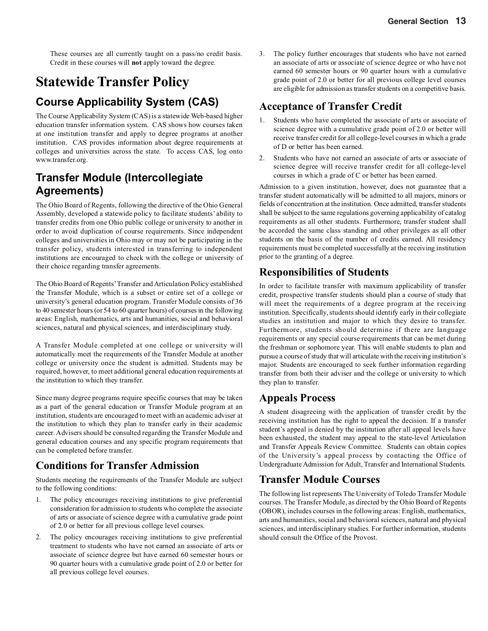These courses are all currently taught on a pass/no credit basis. Credit in these courses will **not** apply toward the degree.

# **Statewide Transfer Policy**

# **Course Applicability System (CAS)**

The Course Applicability System (CAS) is a statewide Web-based higher education transfer information system. CAS shows how courses taken at one institution transfer and apply to degree programs at another institution. CAS provides information about degree requirements at colleges and universities across the state. To access CAS, log onto www.transfer.org.

# **Transfer Module (Intercollegiate Agreements)**

The Ohio Board of Regents, following the directive of the Ohio General Assembly, developed a statewide policy to facilitate students' ability to transfer credits from one Ohio public college or university to another in order to avoid duplication of course requirements. Since independent colleges and universities in Ohio may or may not be participating in the transfer policy, students interested in transferring to independent institutions are encouraged to check with the college or university of their choice regarding transfer agreements.

The Ohio Board of Regents' Transfer and Articulation Policy established the Transfer Module, which is a subset or entire set of a college or university's general education program. Transfer Module consists of 36 to 40 semester hours (or 54 to 60 quarter hours) of courses in the following areas: English, mathematics, arts and humanities, social and behavioral sciences, natural and physical sciences, and interdisciplinary study.

A Transfer Module completed at one college or university will automatically meet the requirements of the Transfer Module at another college or university once the student is admitted. Students may be required, however, to meet additional general education requirements at the institution to which they transfer.

Since many degree programs require specific courses that may be taken as a part of the general education or Transfer Module program at an institution, students are encouraged to meet with an academic adviser at the institution to which they plan to transfer early in their academic career. Advisers should be consulted regarding the Transfer Module and general education courses and any specific program requirements that can be completed before transfer.

## **Conditions for Transfer Admission**

Students meeting the requirements of the Transfer Module are subject to the following conditions:

- 1. The policy encourages receiving institutions to give preferential consideration for admission to students who complete the associate of arts or associate of science degree with a cumulative grade point of 2.0 or better for all previous college level courses.
- 2. The policy encourages receiving institutions to give preferential treatment to students who have not earned an associate of arts or associate of science degree but have earned 60 semester hours or 90 quarter hours with a cumulative grade point of 2.0 or better for all previous college level courses.

3. The policy further encourages that students who have not earned an associate of arts or associate of science degree or who have not earned 60 semester hours or 90 quarter hours with a cumulative grade point of 2.0 or better for all previous college level courses are eligible for admission as transfer students on a competitive basis.

### **Acceptance of Transfer Credit**

- 1. Students who have completed the associate of arts or associate of science degree with a cumulative grade point of 2.0 or better will receive transfer credit for all college-level courses in which a grade of D or better has been earned.
- 2. Students who have not earned an associate of arts or associate of science degree will receive transfer credit for all college-level courses in which a grade of C or better has been earned.

Admission to a given institution, however, does not guarantee that a transfer student automatically will be admitted to all majors, minors or fields of concentration at the institution. Once admitted, transfer students shall be subject to the same regulations governing applicability of catalog requirements as all other students. Furthermore, transfer student shall be accorded the same class standing and other privileges as all other students on the basis of the number of credits earned. All residency requirements must be completed successfully at the receiving institution prior to the granting of a degree.

### **Responsibilities of Students**

In order to facilitate transfer with maximum applicability of transfer credit, prospective transfer students should plan a course of study that will meet the requirements of a degree program at the receiving institution. Specifically, students should identify early in their collegiate studies an institution and major to which they desire to transfer. Furthermore, students should determine if there are language requirements or any special course requirements that can be met during the freshman or sophomore year. This will enable students to plan and pursue a course of study that will articulate with the receiving institution's major. Students are encouraged to seek further information regarding transfer from both their adviser and the college or university to which they plan to transfer.

### **Appeals Process**

A student disagreeing with the application of transfer credit by the receiving institution has the right to appeal the decision. If a transfer student's appeal is denied by the institution after all appeal levels have been exhausted, the student may appeal to the state-level Articulation and Transfer Appeals Review Committee. Students can obtain copies of the University's appeal process by contacting the Office of Undergraduate Admission for Adult, Transfer and International Students.

### **Transfer Module Courses**

The following list represents The University of Toledo Transfer Module courses. The Transfer Module, as directed by the Ohio Board of Regents (OBOR), includes courses in the following areas: English, mathematics, arts and humanities, social and behavioral sciences, natural and physical sciences, and interdisciplinary studies. For further information, students should consult the Office of the Provost.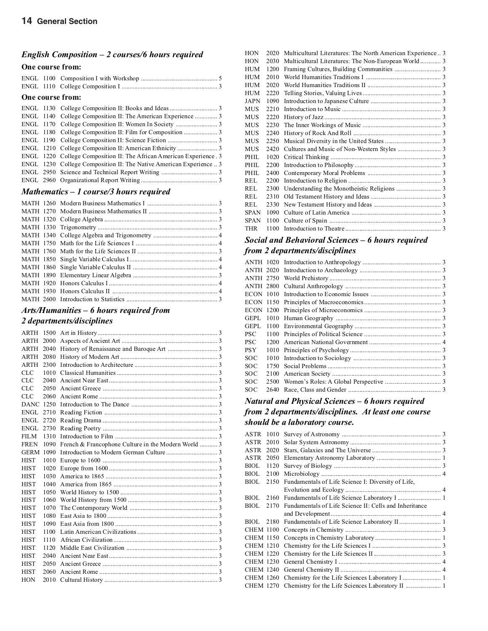### *English Composition – 2 courses/6 hours required*

### **One course from:**

### **One course from:**

|  | ENGL 1220 College Composition II: The African American Experience . 3 |  |
|--|-----------------------------------------------------------------------|--|
|  | ENGL 1230 College Composition II: The Native American Experience  3   |  |
|  |                                                                       |  |
|  |                                                                       |  |

### *Mathematics – 1 course/3 hours required*

### *Arts/Humanities – 6 hours required from*

### *2 departments/disciplines*

| ARTH 1500        |      |                                                     |  |
|------------------|------|-----------------------------------------------------|--|
| ARTH             | 2000 |                                                     |  |
| <b>ARTH 2040</b> |      |                                                     |  |
| <b>ARTH 2080</b> |      |                                                     |  |
| <b>ARTH</b>      | 2300 |                                                     |  |
| <b>CLC</b>       | 1010 |                                                     |  |
| CLC              | 2040 |                                                     |  |
| CLC.             | 2050 |                                                     |  |
| <b>CLC</b>       | 2060 |                                                     |  |
| <b>DANC</b> 1250 |      |                                                     |  |
| ENGL 2710        |      |                                                     |  |
| ENGL 2720        |      |                                                     |  |
| ENGL 2730        |      |                                                     |  |
| FILM.            | 1310 |                                                     |  |
| <b>FREN</b>      | 1090 | French & Francophone Culture in the Modern World  3 |  |
| <b>GERM 1090</b> |      |                                                     |  |
| <b>HIST</b>      | 1010 |                                                     |  |
| <b>HIST</b>      | 1020 |                                                     |  |
| <b>HIST</b>      | 1030 |                                                     |  |
| <b>HIST</b>      | 1040 |                                                     |  |
| <b>HIST</b>      | 1050 |                                                     |  |
| <b>HIST</b>      | 1060 |                                                     |  |
| <b>HIST</b>      | 1070 |                                                     |  |
| <b>HIST</b>      | 1080 |                                                     |  |
| <b>HIST</b>      | 1090 |                                                     |  |
| <b>HIST</b>      | 1100 |                                                     |  |
| <b>HIST</b>      | 1110 |                                                     |  |
| <b>HIST</b>      | 1120 |                                                     |  |
| <b>HIST</b>      | 2040 |                                                     |  |
| <b>HIST</b>      | 2050 |                                                     |  |
| HIST             | 2060 |                                                     |  |
| <b>HON</b>       | 2010 |                                                     |  |
|                  |      |                                                     |  |

| <b>HON</b>  | 2020 | Multicultural Literatures: The North American Experience  3 |  |
|-------------|------|-------------------------------------------------------------|--|
| <b>HON</b>  | 2030 |                                                             |  |
| <b>HUM</b>  | 1200 |                                                             |  |
| <b>HUM</b>  | 2010 |                                                             |  |
| <b>HUM</b>  | 2020 |                                                             |  |
| <b>HUM</b>  | 2220 |                                                             |  |
| <b>JAPN</b> | 1090 |                                                             |  |
| <b>MUS</b>  | 2210 |                                                             |  |
| <b>MUS</b>  | 2220 |                                                             |  |
| <b>MUS</b>  | 2230 |                                                             |  |
| MUS         | 2240 |                                                             |  |
| MUS         | 2250 |                                                             |  |
| <b>MUS</b>  | 2420 |                                                             |  |
| PHIL        | 1020 |                                                             |  |
| PHIL.       | 2200 |                                                             |  |
| PHIL.       | 2400 |                                                             |  |
| REL.        | 2200 |                                                             |  |
| REL         | 2300 |                                                             |  |
| REL         | 2310 |                                                             |  |
| REL         | 2330 |                                                             |  |
| <b>SPAN</b> | 1090 |                                                             |  |
| SPAN        | 1100 |                                                             |  |
| THR         | 1100 |                                                             |  |
|             |      |                                                             |  |

### *Social and Behavioral Sciences – 6 hours required from 2 departments/disciplines*

| GEPL       |      |  |
|------------|------|--|
| GEPL       |      |  |
| PSC        |      |  |
| PSC        | 1200 |  |
| PSY        |      |  |
| SOC        | 1010 |  |
| SOC        |      |  |
| <b>SOC</b> |      |  |
| SOC        |      |  |
| SOC        | 2640 |  |
|            |      |  |

### *Natural and Physical Sciences – 6 hours required from 2 departments/disciplines. At least one course should be a laboratory course.*

| ASTR 1010   |      |                                                             |  |
|-------------|------|-------------------------------------------------------------|--|
| ASTR        | 2010 |                                                             |  |
| ASTR 2020   |      |                                                             |  |
| ASTR 2050   |      |                                                             |  |
| <b>BIOL</b> | 1120 |                                                             |  |
| BIOL 2100   |      |                                                             |  |
| BIOL 2150   |      | Fundamentals of Life Science I: Diversity of Life,          |  |
|             |      |                                                             |  |
| BIOL.       | 2160 |                                                             |  |
| <b>BIOL</b> |      | 2170 Fundamentals of Life Science II: Cells and Inheritance |  |
|             |      |                                                             |  |
|             |      | BIOL 2180 Fundamentals of Life Science Laboratory II 1      |  |
|             |      |                                                             |  |
|             |      |                                                             |  |
|             |      |                                                             |  |
|             |      |                                                             |  |
|             |      |                                                             |  |
|             |      |                                                             |  |
|             |      |                                                             |  |
|             |      | CHEM 1270 Chemistry for the Life Sciences Laboratory II  1  |  |
|             |      |                                                             |  |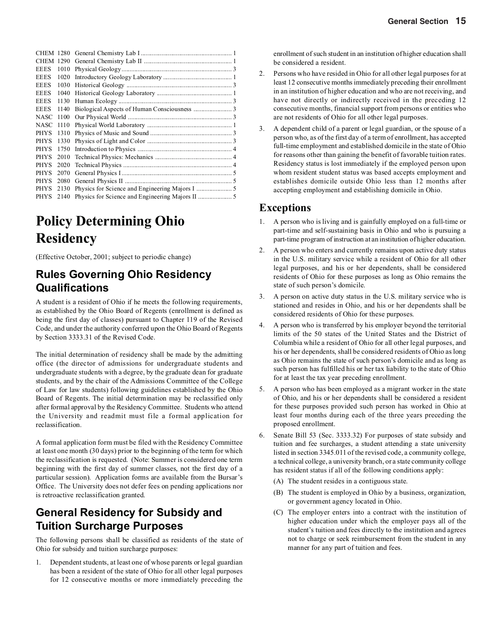| CHEM 1290   |      |  |
|-------------|------|--|
| <b>EEES</b> | 1010 |  |
| <b>EEES</b> | 1020 |  |
| <b>EEES</b> | 1030 |  |
| <b>EEES</b> | 1040 |  |
| <b>EEES</b> | 1130 |  |
| <b>EEES</b> | 1140 |  |
| NASC        | 1100 |  |
| NASC        | 1110 |  |
| <b>PHYS</b> | 1310 |  |
| <b>PHYS</b> | 1330 |  |
| <b>PHYS</b> | 1750 |  |
| <b>PHYS</b> | 2010 |  |
| <b>PHYS</b> | 2020 |  |
| <b>PHYS</b> | 2070 |  |
| <b>PHYS</b> | 2080 |  |
| <b>PHYS</b> | 2130 |  |
| PHYS        | 2140 |  |

# **Policy Determining Ohio Residency**

(Effective October, 2001; subject to periodic change)

## **Rules Governing Ohio Residency Qualifications**

A student is a resident of Ohio if he meets the following requirements, as established by the Ohio Board of Regents (enrollment is defined as being the first day of classes) pursuant to Chapter 119 of the Revised Code, and under the authority conferred upon the Ohio Board of Regents by Section 3333.31 of the Revised Code.

The initial determination of residency shall be made by the admitting office (the director of admissions for undergraduate students and undergraduate students with a degree, by the graduate dean for graduate students, and by the chair of the Admissions Committee of the College of Law for law students) following guidelines established by the Ohio Board of Regents. The initial determination may be reclassified only after formal approval by the Residency Committee. Students who attend the University and readmit must file a formal application for reclassification.

A formal application form must be filed with the Residency Committee at least one month (30 days) prior to the beginning of the term for which the reclassification is requested. (Note: Summer is considered one term beginning with the first day of summer classes, not the first day of a particular session). Application forms are available from the Bursar's Office. The University does not defer fees on pending applications nor is retroactive reclassification granted.

### **General Residency for Subsidy and Tuition Surcharge Purposes**

The following persons shall be classified as residents of the state of Ohio for subsidy and tuition surcharge purposes:

1. Dependent students, at least one of whose parents or legal guardian has been a resident of the state of Ohio for all other legal purposes for 12 consecutive months or more immediately preceding the enrollment of such student in an institution of higher education shall be considered a resident.

- 2. Persons who have resided in Ohio for all other legal purposes for at least 12 consecutive months immediately preceding their enrollment in an institution of higher education and who are not receiving, and have not directly or indirectly received in the preceding 12 consecutive months, financial support from persons or entities who are not residents of Ohio for all other legal purposes.
- 3. A dependent child of a parent or legal guardian, or the spouse of a person who, as of the first day of a term of enrollment, has accepted full-time employment and established domicile in the state of Ohio for reasons other than gaining the benefit of favorable tuition rates. Residency status is lost immediately if the employed person upon whom resident student status was based accepts employment and establishes domicile outside Ohio less than 12 months after accepting employment and establishing domicile in Ohio.

### **Exceptions**

- 1. A person who is living and is gainfully employed on a full-time or part-time and self-sustaining basis in Ohio and who is pursuing a part-time program of instruction at an institution of higher education.
- A person who enters and currently remains upon active duty status in the U.S. military service while a resident of Ohio for all other legal purposes, and his or her dependents, shall be considered residents of Ohio for these purposes as long as Ohio remains the state of such person's domicile.
- 3. A person on active duty status in the U.S. military service who is stationed and resides in Ohio, and his or her dependents shall be considered residents of Ohio for these purposes.
- 4. A person who is transferred by his employer beyond the territorial limits of the 50 states of the United States and the District of Columbia while a resident of Ohio for all other legal purposes, and his or her dependents, shall be considered residents of Ohio as long as Ohio remains the state of such person's domicile and as long as such person has fulfilled his or her tax liability to the state of Ohio for at least the tax year preceding enrollment.
- 5. A person who has been employed as a migrant worker in the state of Ohio, and his or her dependents shall be considered a resident for these purposes provided such person has worked in Ohio at least four months during each of the three years preceding the proposed enrollment.
- Senate Bill 53 (Sec. 3333.32) For purposes of state subsidy and tuition and fee surcharges, a student attending a state university listed in section 3345.011 of the revised code, a community college, a technical college, a university branch, or a state community college has resident status if all of the following conditions apply:
	- (A) The student resides in a contiguous state.
	- (B) The student is employed in Ohio by a business, organization, or government agency located in Ohio.
	- (C) The employer enters into a contract with the institution of higher education under which the employer pays all of the student's tuition and fees directly to the institution and agrees not to charge or seek reimbursement from the student in any manner for any part of tuition and fees.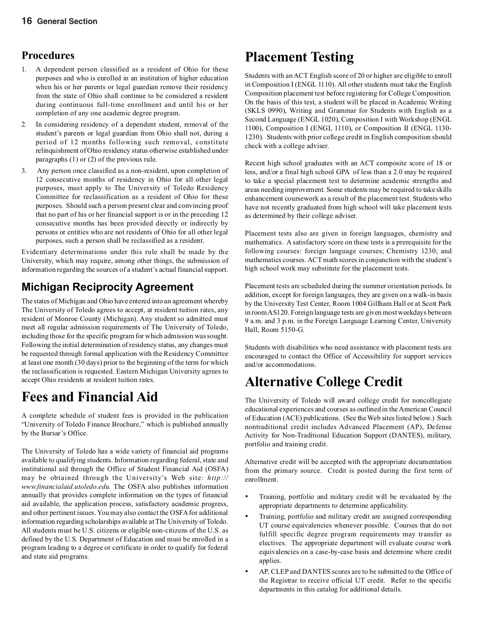### **Procedures**

- 1. A dependent person classified as a resident of Ohio for these purposes and who is enrolled in an institution of higher education when his or her parents or legal guardian remove their residency from the state of Ohio shall continue to be considered a resident during continuous full-time enrollment and until his or her completion of any one academic degree program.
- 2. In considering residency of a dependent student, removal of the student's parents or legal guardian from Ohio shall not, during a period of 12 months following such removal, constitute relinquishment of Ohio residency status otherwise established under paragraphs (1) or (2) of the previous rule.
- 3. Any person once classified as a non-resident, upon completion of 12 consecutive months of residency in Ohio for all other legal purposes, must apply to The University of Toledo Residency Committee for reclassification as a resident of Ohio for these purposes. Should such a person present clear and convincing proof that no part of his or her financial support is or in the preceding 12 consecutive months has been provided directly or indirectly by persons or entities who are not residents of Ohio for all other legal purposes, such a person shall be reclassified as a resident.

Evidentiary determinations under this rule shall be made by the University, which may require, among other things, the submission of information regarding the sources of a student's actual financial support.

## **Michigan Reciprocity Agreement**

The states of Michigan and Ohio have entered into an agreement whereby The University of Toledo agrees to accept, at resident tuition rates, any resident of Monroe County (Michigan). Any student so admitted must meet all regular admission requirements of The University of Toledo, including those for the specific program for which admission was sought. Following the initial determination of residency status, any changes must be requested through formal application with the Residency Committee at least one month (30 days) prior to the beginning of the term for which the reclassification is requested. Eastern Michigan University agrees to accept Ohio residents at resident tuition rates.

# **Fees and Financial Aid**

A complete schedule of student fees is provided in the publication "University of Toledo Finance Brochure," which is published annually by the Bursar's Office.

The University of Toledo has a wide variety of financial aid programs available to qualifying students. Information regarding federal, state and institutional aid through the Office of Student Financial Aid (OSFA) may be obtained through the University's Web site: *http:// www.financialaid.utoledo.edu.* The OSFA also publishes information annually that provides complete information on the types of financial aid available, the application process, satisfactory academic progress, and other pertinent issues. You may also contact the OSFA for additional information regarding scholarships available at The University of Toledo. All students must be U.S. citizens or eligible non-citizens of the U.S. as defined by the U.S. Department of Education and must be enrolled in a program leading to a degree or certificate in order to qualify for federal and state aid programs.

# **Placement Testing**

Students with an ACT English score of 20 or higher are eligible to enroll in Composition I (ENGL 1110). All other students must take the English Composition placement test before registering for College Composition. On the basis of this test, a student will be placed in Academic Writing (SKLS 0990), Writing and Grammar for Students with English as a Second Language (ENGL 1020), Composition I with Workshop (ENGL 1100), Composition I (ENGL 1110), or Composition II (ENGL 1130- 1230). Students with prior college credit in English composition should check with a college adviser.

Recent high school graduates with an ACT composite score of 18 or less, and/or a final high school GPA of less than a 2.0 may be required to take a special placement test to determine academic strengths and areas needing improvement. Some students may be required to take skills enhancement coursework as a result of the placement test. Students who have not recently graduated from high school will take placement tests as determined by their college adviser.

Placement tests also are given in foreign languages, chemistry and mathematics. A satisfactory score on these tests is a prerequisite for the following courses: foreign language courses; Chemistry 1230; and mathematics courses. ACT math scores in conjunction with the student's high school work may substitute for the placement tests.

Placement tests are scheduled during the summer orientation periods. In addition, except for foreign languages, they are given on a walk-in basis by the University Test Center, Room 1004 Gillham Hall or at Scott Park in room AS120. Foreign language tests are given most weekdays between 9 a.m. and 3 p.m. in the Foreign Language Learning Center, University Hall, Room 5150-G.

Students with disabilities who need assistance with placement tests are encouraged to contact the Office of Accessibility for support services and/or accommodations.

# **Alternative College Credit**

The University of Toledo will award college credit for noncollegiate educational experiences and courses as outlined in the American Council of Education (ACE) publications. (See the Web sites listed below.) Such nontraditional credit includes Advanced Placement (AP), Defense Activity for Non-Traditional Education Support (DANTES), military, portfolio and training credit.

Alternative credit will be accepted with the appropriate documentation from the primary source. Credit is posted during the first term of enrollment.

- Training, portfolio and military credit will be revaluated by the appropriate departments to determine applicability.
- Training, portfolio and military credit are assigned corresponding UT course equivalencies whenever possible. Courses that do not fulfill specific degree program requirements may transfer as electives. The appropriate department will evaluate course work equivalencies on a case-by-case basis and determine where credit applies.
- AP, CLEP and DANTES scores are to be submitted to the Office of the Registrar to receive official UT credit. Refer to the specific departments in this catalog for additional details.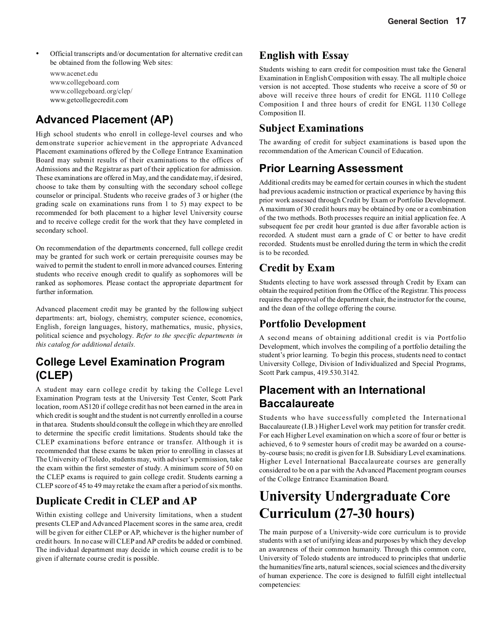- Official transcripts and/or documentation for alternative credit can be obtained from the following Web sites:
	- www.acenet.edu www.collegeboard.com www.collegeboard.org/clep/ www.getcollegecredit.com

## **Advanced Placement (AP)**

High school students who enroll in college-level courses and who demonstrate superior achievement in the appropriate Advanced Placement examinations offered by the College Entrance Examination Board may submit results of their examinations to the offices of Admissions and the Registrar as part of their application for admission. These examinations are offered in May, and the candidate may, if desired, choose to take them by consulting with the secondary school college counselor or principal. Students who receive grades of 3 or higher (the grading scale on examinations runs from 1 to 5) may expect to be recommended for both placement to a higher level University course and to receive college credit for the work that they have completed in secondary school.

On recommendation of the departments concerned, full college credit may be granted for such work or certain prerequisite courses may be waived to permit the student to enroll in more advanced courses. Entering students who receive enough credit to qualify as sophomores will be ranked as sophomores. Please contact the appropriate department for further information.

Advanced placement credit may be granted by the following subject departments: art, biology, chemistry, computer science, economics, English, foreign languages, history, mathematics, music, physics, political science and psychology. *Refer to the specific departments in this catalog for additional details.*

### **College Level Examination Program (CLEP)**

A student may earn college credit by taking the College Level Examination Program tests at the University Test Center, Scott Park location, room AS120 if college credit has not been earned in the area in which credit is sought and the student is not currently enrolled in a course in that area. Students should consult the college in which they are enrolled to determine the specific credit limitations. Students should take the CLEP examinations before entrance or transfer. Although it is recommended that these exams be taken prior to enrolling in classes at The University of Toledo, students may, with adviser's permission, take the exam within the first semester of study. A minimum score of 50 on the CLEP exams is required to gain college credit. Students earning a CLEP score of 45 to 49 may retake the exam after a period of six months.

## **Duplicate Credit in CLEP and AP**

Within existing college and University limitations, when a student presents CLEP and Advanced Placement scores in the same area, credit will be given for either CLEP or AP, whichever is the higher number of credit hours. In no case will CLEP and AP credits be added or combined. The individual department may decide in which course credit is to be given if alternate course credit is possible.

### **English with Essay**

Students wishing to earn credit for composition must take the General Examination in English Composition with essay. The all multiple choice version is not accepted. Those students who receive a score of 50 or above will receive three hours of credit for ENGL 1110 College Composition I and three hours of credit for ENGL 1130 College Composition II.

### **Subject Examinations**

The awarding of credit for subject examinations is based upon the recommendation of the American Council of Education.

## **Prior Learning Assessment**

Additional credits may be earned for certain courses in which the student had previous academic instruction or practical experience by having this prior work assessed through Credit by Exam or Portfolio Development. A maximum of 30 credit hours may be obtained by one or a combination of the two methods. Both processes require an initial application fee. A subsequent fee per credit hour granted is due after favorable action is recorded. A student must earn a grade of C or better to have credit recorded. Students must be enrolled during the term in which the credit is to be recorded.

### **Credit by Exam**

Students electing to have work assessed through Credit by Exam can obtain the required petition from the Office of the Registrar. This process requires the approval of the department chair, the instructor for the course, and the dean of the college offering the course.

### **Portfolio Development**

A second means of obtaining additional credit is via Portfolio Development, which involves the compiling of a portfolio detailing the student's prior learning. To begin this process, students need to contact University College, Division of Individualized and Special Programs, Scott Park campus, 419.530.3142.

## **Placement with an International Baccalaureate**

Students who have successfully completed the International Baccalaureate (I.B.) Higher Level work may petition for transfer credit. For each Higher Level examination on which a score of four or better is achieved, 6 to 9 semester hours of credit may be awarded on a courseby-course basis; no credit is given for I.B. Subsidiary Level examinations. Higher Level International Baccalaureate courses are generally considered to be on a par with the Advanced Placement program courses of the College Entrance Examination Board.

# **University Undergraduate Core Curriculum (27-30 hours)**

The main purpose of a University-wide core curriculum is to provide students with a set of unifying ideas and purposes by which they develop an awareness of their common humanity. Through this common core, University of Toledo students are introduced to principles that underlie the humanities/fine arts, natural sciences, social sciences and the diversity of human experience. The core is designed to fulfill eight intellectual competencies: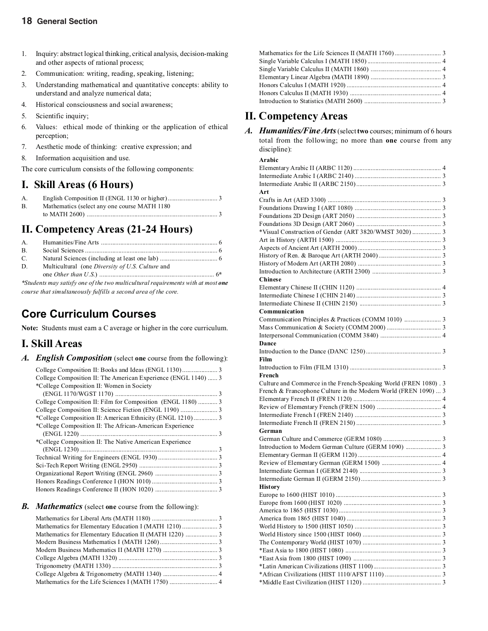### **18 General Section**

- 1. Inquiry: abstract logical thinking, critical analysis, decision-making and other aspects of rational process;
- 2. Communication: writing, reading, speaking, listening;
- 3. Understanding mathematical and quantitative concepts: ability to understand and analyze numerical data;
- 4. Historical consciousness and social awareness;
- 5. Scientific inquiry;
- 6. Values: ethical mode of thinking or the application of ethical perception;
- 7. Aesthetic mode of thinking: creative expression; and
- 8. Information acquisition and use.
- The core curriculum consists of the following components:

### **I. Skill Areas (6 Hours)**

| A.         |                                               |
|------------|-----------------------------------------------|
| <b>B</b> . | Mathematics (select any one course MATH 1180) |
|            |                                               |

### **II. Competency Areas (21-24 Hours)**

| $\mathbf{B}$ . |                                                  |  |
|----------------|--------------------------------------------------|--|
| $C_{\cdot}$    |                                                  |  |
| D.             | Multicultural (one Diversity of U.S. Culture and |  |
|                |                                                  |  |
|                |                                                  |  |

*\*Students may satisfy one of the two multicultural requirements with at most one course that simultaneously fulfills a second area of the core.*

## **Core Curriculum Courses**

**Note:** Students must earn a C average or higher in the core curriculum.

### **I. Skill Areas**

*A. English Composition* (select **one** course from the following):

| College Composition II: The American Experience (ENGL 1140)  3 |  |
|----------------------------------------------------------------|--|
| *College Composition II: Women in Society                      |  |
|                                                                |  |
| College Composition II: Film for Composition (ENGL 1180)  3    |  |
|                                                                |  |
|                                                                |  |
| *College Composition II: The African-American Experience       |  |
|                                                                |  |
| *College Composition II: The Native American Experience        |  |
|                                                                |  |
|                                                                |  |
|                                                                |  |
|                                                                |  |
|                                                                |  |
|                                                                |  |
|                                                                |  |

#### *B. Mathematics* (select **one** course from the following):

### **II. Competency Areas**

| A. Humanities/Fine Arts (select two courses; minimum of 6 hours   |
|-------------------------------------------------------------------|
| total from the following; no more than <b>one</b> course from any |
| discipline):                                                      |

| Arabic                                                           |  |
|------------------------------------------------------------------|--|
|                                                                  |  |
|                                                                  |  |
|                                                                  |  |
| Art                                                              |  |
|                                                                  |  |
|                                                                  |  |
|                                                                  |  |
|                                                                  |  |
|                                                                  |  |
|                                                                  |  |
|                                                                  |  |
|                                                                  |  |
|                                                                  |  |
|                                                                  |  |
| <b>Chinese</b>                                                   |  |
|                                                                  |  |
|                                                                  |  |
|                                                                  |  |
| Communication                                                    |  |
|                                                                  |  |
|                                                                  |  |
|                                                                  |  |
| Dance                                                            |  |
|                                                                  |  |
| Film                                                             |  |
|                                                                  |  |
|                                                                  |  |
|                                                                  |  |
| French                                                           |  |
| Culture and Commerce in the French-Speaking World (FREN 1080). 3 |  |
| French & Francophone Culture in the Modern World (FREN 1090)  3  |  |
|                                                                  |  |
|                                                                  |  |
|                                                                  |  |
|                                                                  |  |
| German                                                           |  |
|                                                                  |  |
| Introduction to Modern German Culture (GERM 1090)  3             |  |
|                                                                  |  |
|                                                                  |  |
|                                                                  |  |
|                                                                  |  |
| <b>History</b>                                                   |  |
|                                                                  |  |
|                                                                  |  |
|                                                                  |  |
|                                                                  |  |
|                                                                  |  |
|                                                                  |  |
|                                                                  |  |
|                                                                  |  |
|                                                                  |  |
|                                                                  |  |
|                                                                  |  |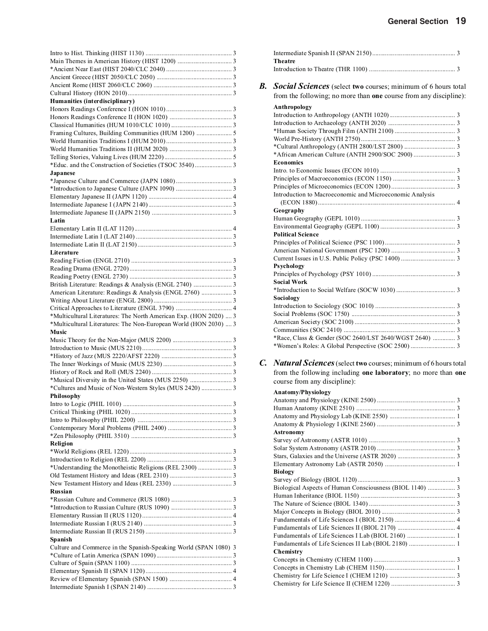| Humanities (interdisciplinary)                                    |
|-------------------------------------------------------------------|
|                                                                   |
|                                                                   |
| Framing Cultures, Building Communities (HUM 1200)  5              |
|                                                                   |
|                                                                   |
|                                                                   |
|                                                                   |
| Japanese                                                          |
|                                                                   |
|                                                                   |
|                                                                   |
|                                                                   |
|                                                                   |
| Latin                                                             |
|                                                                   |
|                                                                   |
|                                                                   |
| Literature                                                        |
|                                                                   |
|                                                                   |
|                                                                   |
| American Literature: Readings & Analysis (ENGL 2760)  3           |
|                                                                   |
|                                                                   |
| *Multicultural Literatures: The North American Exp. (HON 2020)  3 |
|                                                                   |
| *Multicultural Literatures: The Non-European World (HON 2030)  3  |
| Music                                                             |
|                                                                   |
|                                                                   |
|                                                                   |
|                                                                   |
|                                                                   |
|                                                                   |
| *Cultures and Music of Non-Western Styles (MUS 2420)  3           |
| <b>Philosophy</b>                                                 |
|                                                                   |
|                                                                   |
|                                                                   |
|                                                                   |
| Religion                                                          |
|                                                                   |
|                                                                   |
|                                                                   |
|                                                                   |
|                                                                   |
| Russian                                                           |
|                                                                   |
|                                                                   |
|                                                                   |
|                                                                   |
| Spanish                                                           |
| Culture and Commerce in the Spanish-Speaking World (SPAN 1080) 3  |
|                                                                   |
|                                                                   |
|                                                                   |
|                                                                   |

|    | <b>Theatre</b>                                                       |
|----|----------------------------------------------------------------------|
|    |                                                                      |
| B. | <b>Social Sciences</b> (select two courses; minimum of 6 hours total |
|    | from the following; no more than one course from any discipline):    |
|    | Anthropology                                                         |
|    |                                                                      |
|    |                                                                      |
|    |                                                                      |
|    |                                                                      |
|    |                                                                      |
|    |                                                                      |
|    | <b>Economics</b>                                                     |
|    |                                                                      |
|    |                                                                      |
|    |                                                                      |
|    | Introduction to Macroeconomic and Microeconomic Analysis             |
|    |                                                                      |
|    | Geography                                                            |
|    |                                                                      |
|    |                                                                      |
|    | <b>Political Science</b>                                             |
|    |                                                                      |
|    |                                                                      |
|    |                                                                      |
|    | Psychology                                                           |
|    |                                                                      |
|    | <b>Social Work</b>                                                   |
|    |                                                                      |
|    | Sociology                                                            |
|    |                                                                      |
|    |                                                                      |
|    |                                                                      |
|    |                                                                      |
|    | *Race, Class & Gender (SOC 2640/LST 2640/WGST 2640)  3               |
|    |                                                                      |
|    |                                                                      |

*C. Natural Sciences*(select **two** courses; minimum of 6 hours total from the following including **one laboratory**; no more than **one** course from any discipline):

### **Anatomy/Physiology**

| <b>Astronomy</b>                                         |  |
|----------------------------------------------------------|--|
|                                                          |  |
|                                                          |  |
|                                                          |  |
|                                                          |  |
| <b>Biology</b>                                           |  |
|                                                          |  |
| Biological Aspects of Human Consciousness (BIOL 1140)  3 |  |
|                                                          |  |
|                                                          |  |
|                                                          |  |
|                                                          |  |
|                                                          |  |
|                                                          |  |
| Fundamentals of Life Sciences II Lab (BIOL 2180)  1      |  |
| Chemistry                                                |  |
|                                                          |  |
|                                                          |  |
|                                                          |  |
|                                                          |  |
|                                                          |  |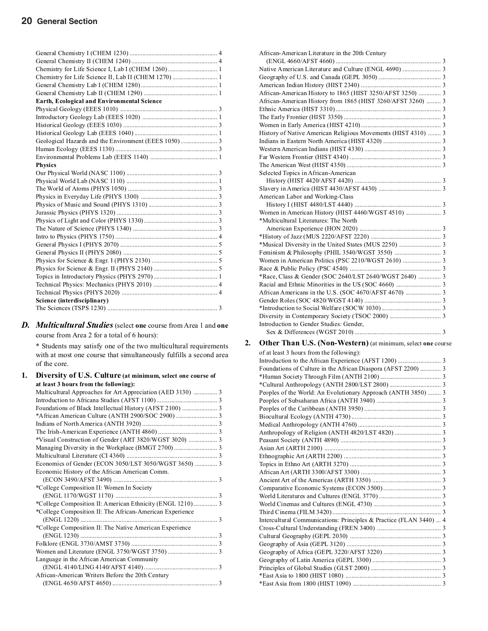| Chemistry for Life Science II, Lab II (CHEM 1270)  1 |  |
|------------------------------------------------------|--|
|                                                      |  |
|                                                      |  |
| Earth, Ecological and Environmental Science          |  |
|                                                      |  |
|                                                      |  |
|                                                      |  |
|                                                      |  |
|                                                      |  |
|                                                      |  |
|                                                      |  |
| <b>Physics</b>                                       |  |
|                                                      |  |
|                                                      |  |
|                                                      |  |
|                                                      |  |
|                                                      |  |
|                                                      |  |
|                                                      |  |
|                                                      |  |
|                                                      |  |
|                                                      |  |
|                                                      |  |
|                                                      |  |
|                                                      |  |
|                                                      |  |
|                                                      |  |
|                                                      |  |
| Science (interdisciplinary)                          |  |
|                                                      |  |
|                                                      |  |

### *D. Multicultural Studies*(select **one** course from Area 1 and **one** course from Area 2 for a total of 6 hours):

\* Students may satisfy one of the two multicultural requirements with at most one course that simultaneously fulfills a second area of the core.

| 1. | Diversity of U.S. Culture (at minimum, select one course of |  |
|----|-------------------------------------------------------------|--|
|    | at least 3 hours from the following):                       |  |
|    | Multicultural Approaches for Art Appreciation (AED 3130)  3 |  |
|    |                                                             |  |
|    |                                                             |  |
|    |                                                             |  |
|    |                                                             |  |
|    |                                                             |  |
|    | *Visual Construction of Gender (ART 3820/WGST 3020)  3      |  |
|    |                                                             |  |
|    |                                                             |  |
|    | Economics of Gender (ECON 3050/LST 3050/WGST 3650)  3       |  |
|    | Economic History of the African American Comm.              |  |
|    |                                                             |  |
|    | *College Composition II: Women In Society                   |  |
|    |                                                             |  |
|    |                                                             |  |
|    | *College Composition II: The African-American Experience    |  |
|    |                                                             |  |
|    | *College Composition II: The Native American Experience     |  |
|    |                                                             |  |
|    |                                                             |  |
|    |                                                             |  |
|    | Language in the African American Community                  |  |
|    |                                                             |  |
|    | African-American Writers Before the 20th Century            |  |
|    |                                                             |  |
|    |                                                             |  |

| African-American Literature in the 20th Century               |  |
|---------------------------------------------------------------|--|
|                                                               |  |
|                                                               |  |
|                                                               |  |
|                                                               |  |
| African-American History to 1865 (HIST 3250/AFST 3250)  3     |  |
| African-American History from 1865 (HIST 3260/AFST 3260)  3   |  |
|                                                               |  |
|                                                               |  |
|                                                               |  |
| History of Native American Religious Movements (HIST 4310)  3 |  |
|                                                               |  |
|                                                               |  |
|                                                               |  |
|                                                               |  |
| Selected Topics in African-American                           |  |
|                                                               |  |
|                                                               |  |
| American Labor and Working-Class                              |  |
|                                                               |  |
|                                                               |  |
| *Multicultural Literatures: The North                         |  |
|                                                               |  |
|                                                               |  |
|                                                               |  |
|                                                               |  |
|                                                               |  |
|                                                               |  |
| *Race, Class & Gender (SOC 2640/LST 2640/WGST 2640)  3        |  |
|                                                               |  |
|                                                               |  |
|                                                               |  |
|                                                               |  |
|                                                               |  |
| Introduction to Gender Studies: Gender,                       |  |
|                                                               |  |
|                                                               |  |

# **2.** Other Than U.S. (Non-Western) (at minimum, select one course of at least 3 hours from the following):

| of at least 3 hours from the following):                           |  |
|--------------------------------------------------------------------|--|
|                                                                    |  |
| Foundations of Culture in the African Diaspora (AFST 2200)  3      |  |
|                                                                    |  |
|                                                                    |  |
| Peoples of the World: An Evolutionary Approach (ANTH 3850)  3      |  |
|                                                                    |  |
|                                                                    |  |
|                                                                    |  |
|                                                                    |  |
|                                                                    |  |
|                                                                    |  |
|                                                                    |  |
|                                                                    |  |
|                                                                    |  |
|                                                                    |  |
|                                                                    |  |
|                                                                    |  |
|                                                                    |  |
|                                                                    |  |
|                                                                    |  |
| Intercultural Communications: Principles & Practice (FLAN 3440)  4 |  |
|                                                                    |  |
|                                                                    |  |
|                                                                    |  |
|                                                                    |  |
|                                                                    |  |
|                                                                    |  |
|                                                                    |  |
|                                                                    |  |
|                                                                    |  |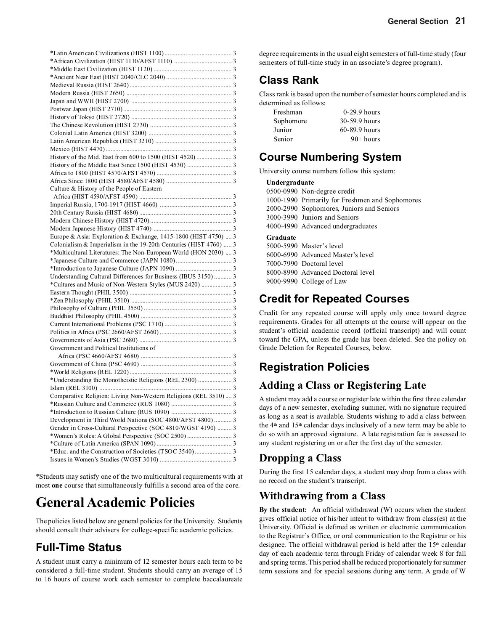| Culture & History of the People of Eastern                        |  |  |
|-------------------------------------------------------------------|--|--|
|                                                                   |  |  |
|                                                                   |  |  |
|                                                                   |  |  |
|                                                                   |  |  |
|                                                                   |  |  |
| Europe & Asia: Exploration & Exchange, 1415-1800 (HIST 4750)  3   |  |  |
| Colonialism & Imperialism in the 19-20th Centuries (HIST 4760)  3 |  |  |
| *Multicultural Literatures: The Non-European World (HON 2030)  3  |  |  |
|                                                                   |  |  |
|                                                                   |  |  |
| Understanding Cultural Differences for Business (IBUS 3150) 3     |  |  |
|                                                                   |  |  |
|                                                                   |  |  |
|                                                                   |  |  |
|                                                                   |  |  |
|                                                                   |  |  |
|                                                                   |  |  |
|                                                                   |  |  |
|                                                                   |  |  |
| Government and Political Institutions of                          |  |  |
|                                                                   |  |  |
|                                                                   |  |  |
|                                                                   |  |  |
|                                                                   |  |  |
|                                                                   |  |  |
| Comparative Religion: Living Non-Western Religions (REL 3510)  3  |  |  |
|                                                                   |  |  |
|                                                                   |  |  |
| Development in Third World Nations (SOC 4800/AFST 4800)  3        |  |  |
| Gender in Cross-Cultural Perspective (SOC 4810/WGST 4190)  3      |  |  |
|                                                                   |  |  |
|                                                                   |  |  |
|                                                                   |  |  |
|                                                                   |  |  |
|                                                                   |  |  |

\*Students may satisfy one of the two multicultural requirements with at most **one** course that simultaneously fulfills a second area of the core.

# **General Academic Policies**

The policies listed below are general policies for the University. Students should consult their advisers for college-specific academic policies.

# **Full-Time Status**

A student must carry a minimum of 12 semester hours each term to be considered a full-time student. Students should carry an average of 15 to 16 hours of course work each semester to complete baccalaureate degree requirements in the usual eight semesters of full-time study (four semesters of full-time study in an associate's degree program).

# **Class Rank**

Class rank is based upon the number of semester hours completed and is determined as follows:

| Freshman  | $0-29.9$ hours  |
|-----------|-----------------|
| Sophomore | 30-59.9 hours   |
| Junior    | $60-89.9$ hours |
| Senior    | $90+ hours$     |

## **Course Numbering System**

University course numbers follow this system:

| Undergraduate |                                                 |  |
|---------------|-------------------------------------------------|--|
|               | 0500-0990 Non-degree credit                     |  |
|               | 1000-1990 Primarily for Freshmen and Sophomores |  |
|               | 2000-2990 Sophomores, Juniors and Seniors       |  |
|               | 3000-3990 Juniors and Seniors                   |  |
|               | 4000-4990 Advanced undergraduates               |  |
|               |                                                 |  |
| Graduate      |                                                 |  |
|               | 5000-5990 Master's level                        |  |
|               | 6000-6990 Advanced Master's level               |  |
|               | 7000-7990 Doctoral level                        |  |
|               | 8000-8990 Advanced Doctoral level               |  |

# **Credit for Repeated Courses**

Credit for any repeated course will apply only once toward degree requirements. Grades for all attempts at the course will appear on the student's official academic record (official transcript) and will count toward the GPA, unless the grade has been deleted. See the policy on Grade Deletion for Repeated Courses, below.

# **Registration Policies**

## **Adding a Class or Registering Late**

A student may add a course or register late within the first three calendar days of a new semester, excluding summer, with no signature required as long as a seat is available. Students wishing to add a class between the 4th and 15th calendar days inclusively of a new term may be able to do so with an approved signature. A late registration fee is assessed to any student registering on or after the first day of the semester.

## **Dropping a Class**

During the first 15 calendar days, a student may drop from a class with no record on the student's transcript.

## **Withdrawing from a Class**

**By the student:** An official withdrawal (W) occurs when the student gives official notice of his/her intent to withdraw from class(es) at the University. Official is defined as written or electronic communication to the Registrar's Office, or oral communication to the Registrar or his designee. The official withdrawal period is held after the  $15<sup>th</sup>$  calendar day of each academic term through Friday of calendar week 8 for fall and spring terms. This period shall be reduced proportionately for summer term sessions and for special sessions during **any** term. A grade of W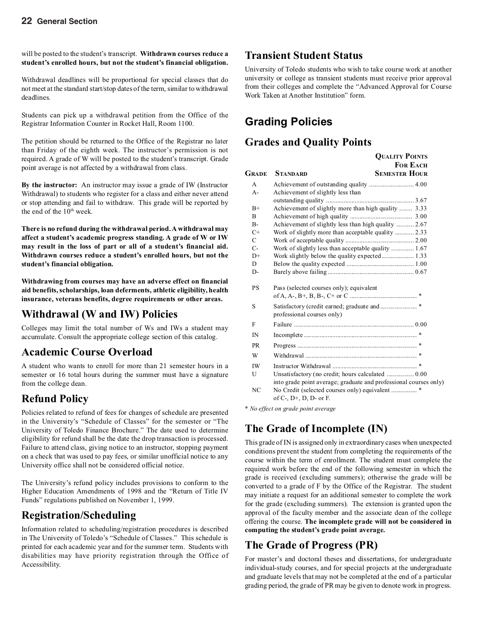will be posted to the student's transcript. **Withdrawn courses reduce a student's enrolled hours, but not the student's financial obligation.**

Withdrawal deadlines will be proportional for special classes that do not meet at the standard start/stop dates of the term, similar to withdrawal deadlines.

Students can pick up a withdrawal petition from the Office of the Registrar Information Counter in Rocket Hall, Room 1100.

The petition should be returned to the Office of the Registrar no later than Friday of the eighth week. The instructor's permission is not required. A grade of W will be posted to the student's transcript. Grade point average is not affected by a withdrawal from class.

**By the instructor:** An instructor may issue a grade of IW (Instructor Withdrawal) to students who register for a class and either never attend or stop attending and fail to withdraw. This grade will be reported by the end of the 10<sup>th</sup> week.

**There is no refund during the withdrawal period. A withdrawal may affect a student's academic progress standing. A grade of W or IW may result in the loss of part or all of a student's financial aid. Withdrawn courses reduce a student's enrolled hours, but not the student's financial obligation.**

**Withdrawing from courses may have an adverse effect on financial aid benefits, scholarships, loan deferments, athletic eligibility, health insurance, veterans benefits, degree requirements or other areas.**

### **Withdrawal (W and IW) Policies**

Colleges may limit the total number of Ws and IWs a student may accumulate. Consult the appropriate college section of this catalog.

### **Academic Course Overload**

A student who wants to enroll for more than 21 semester hours in a semester or 16 total hours during the summer must have a signature from the college dean.

### **Refund Policy**

Policies related to refund of fees for changes of schedule are presented in the University's "Schedule of Classes" for the semester or "The University of Toledo Finance Brochure." The date used to determine eligibility for refund shall be the date the drop transaction is processed. Failure to attend class, giving notice to an instructor, stopping payment on a check that was used to pay fees, or similar unofficial notice to any University office shall not be considered official notice.

The University's refund policy includes provisions to conform to the Higher Education Amendments of 1998 and the "Return of Title IV Funds" regulations published on November 1, 1999.

### **Registration/Scheduling**

Information related to scheduling/registration procedures is described in The University of Toledo's "Schedule of Classes." This schedule is printed for each academic year and for the summer term. Students with disabilities may have priority registration through the Office of Accessibility.

### **Transient Student Status**

University of Toledo students who wish to take course work at another university or college as transient students must receive prior approval from their colleges and complete the "Advanced Approval for Course Work Taken at Another Institution" form.

## **Grading Policies**

### **Grades and Quality Points**

|                |                                                                   | <b>QUALITY POINTS</b> |
|----------------|-------------------------------------------------------------------|-----------------------|
|                |                                                                   | <b>FOR EACH</b>       |
| Grade          | <b>STANDARD</b>                                                   | <b>SEMESTER HOUR</b>  |
| A              | Achievement of outstanding quality  4.00                          |                       |
| $A -$          | Achievement of slightly less than                                 |                       |
|                |                                                                   |                       |
| $B+$           | Achievement of slightly more than high quality  3.33              |                       |
| $\overline{B}$ |                                                                   |                       |
| $B -$          | Achievement of slightly less than high quality  2.67              |                       |
| $C+$           | Work of slightly more than acceptable quality  2.33               |                       |
| $\mathcal{C}$  |                                                                   |                       |
| $C-$           | Work of slightly less than acceptable quality  1.67               |                       |
| $D+$           |                                                                   |                       |
| D              |                                                                   |                       |
| $D-$           |                                                                   |                       |
| <b>PS</b>      | Pass (selected courses only); equivalent                          |                       |
|                |                                                                   |                       |
| S              | professional courses only)                                        |                       |
| F              |                                                                   |                       |
| IN             |                                                                   |                       |
| <b>PR</b>      |                                                                   |                       |
| W              |                                                                   |                       |
| <b>IW</b>      |                                                                   | $\ast$                |
| U              | Unsatisfactory (no credit; hours calculated  0.00                 |                       |
|                | into grade point average; graduate and professional courses only) |                       |
| NC             | of $C$ -, $D$ +, $D$ , $D$ - or $F$ .                             |                       |

*\* No effect on grade point average*

## **The Grade of Incomplete (IN)**

This grade of IN is assigned only in extraordinary cases when unexpected conditions prevent the student from completing the requirements of the course within the term of enrollment. The student must complete the required work before the end of the following semester in which the grade is received (excluding summers); otherwise the grade will be converted to a grade of F by the Office of the Registrar. The student may initiate a request for an additional semester to complete the work for the grade (excluding summers). The extension is granted upon the approval of the faculty member and the associate dean of the college offering the course. **The incomplete grade will not be considered in computing the student's grade point average.**

### **The Grade of Progress (PR)**

For master's and doctoral theses and dissertations, for undergraduate individual-study courses, and for special projects at the undergraduate and graduate levels that may not be completed at the end of a particular grading period, the grade of PR may be given to denote work in progress.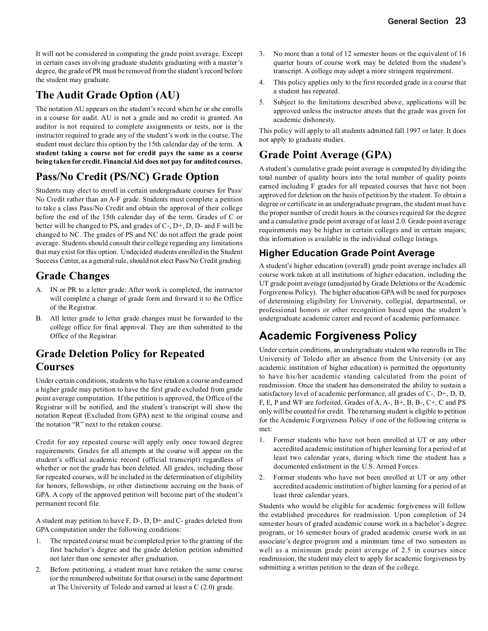It will not be considered in computing the grade point average. Except in certain cases involving graduate students graduating with a master's degree, the grade of PR must be removed from the student's record before the student may graduate.

### **The Audit Grade Option (AU)**

The notation AU appears on the student's record when he or she enrolls in a course for audit. AU is not a grade and no credit is granted. An auditor is not required to complete assignments or tests, nor is the instructor required to grade any of the student's work in the course. The student must declare this option by the 15th calendar day of the term. **A student taking a course not for credit pays the same as a course being taken for credit. Financial Aid does not pay for audited courses.**

### **Pass/No Credit (PS/NC) Grade Option**

Students may elect to enroll in certain undergraduate courses for Pass/ No Credit rather than an A-F grade. Students must complete a petition to take a class Pass/No Credit and obtain the approval of their college before the end of the 15th calendar day of the term. Grades of C or better will be changed to PS, and grades of C-, D+, D, D- and F will be changed to NC. The grades of PS and NC do not affect the grade point average. Students should consult their college regarding any limitations that may exist for this option. Undecided students enrolled in the Student Success Center, as a general rule, should not elect Pass/No Credit grading.

### **Grade Changes**

- A. IN or PR to a letter grade: After work is completed, the instructor will complete a change of grade form and forward it to the Office of the Registrar.
- B. All letter grade to letter grade changes must be forwarded to the college office for final approval. They are then submitted to the Office of the Registrar.

### **Grade Deletion Policy for Repeated Courses**

Under certain conditions, students who have retaken a course and earned a higher grade may petition to have the first grade excluded from grade point average computation. If the petition is approved, the Office of the Registrar will be notified, and the student's transcript will show the notation Repeat (Excluded from GPA) next to the original course and the notation "R" next to the retaken course.

Credit for any repeated course will apply only once toward degree requirements. Grades for all attempts at the course will appear on the student's official academic record (official transcript) regardless of whether or not the grade has been deleted. All grades, including those for repeated courses, will be included in the determination of eligibility for honors, fellowships, or other distinctions accruing on the basis of GPA. A copy of the approved petition will become part of the student's permanent record file.

A student may petition to have F, D-, D, D+ and C- grades deleted from GPA computation under the following conditions:

- 1. The repeated course must be completed prior to the granting of the first bachelor's degree and the grade deletion petition submitted not later than one semester after graduation.
- 2. Before petitioning, a student must have retaken the same course (or the renumbered substitute for that course) in the same department at The University of Toledo and earned at least a C (2.0) grade.
- 3. No more than a total of 12 semester hours or the equivalent of 16 quarter hours of course work may be deleted from the student's transcript. A college may adopt a more stringent requirement.
- 4. This policy applies only to the first recorded grade in a course that a student has repeated.
- 5. Subject to the limitations described above, applications will be approved unless the instructor attests that the grade was given for academic dishonesty.

This policy will apply to all students admitted fall 1997 or later. It does not apply to graduate studies.

### **Grade Point Average (GPA)**

A student's cumulative grade point average is computed by dividing the total number of quality hours into the total number of quality points earned including F grades for all repeated courses that have not been approved for deletion on the basis of petition by the student. To obtain a degree or certificate in an undergraduate program, the student must have the proper number of credit hours in the courses required for the degree and a cumulative grade point average of at least 2.0. Grade point average requirements may be higher in certain colleges and in certain majors; this information is available in the individual college listings.

### **Higher Education Grade Point Average**

A student's higher education (overall) grade point average includes all course work taken at all institutions of higher education, including the UT grade point average (unadjusted by Grade Deletions or the Academic Forgiveness Policy). The higher education GPA will be used for purposes of determining eligibility for University, collegial, departmental, or professional honors or other recognition based upon the student's undergraduate academic career and record of academic performance.

# **Academic Forgiveness Policy**

Under certain conditions, an undergraduate student who reenrolls in The University of Toledo after an absence from the University (or any academic institution of higher education) is permitted the opportunity to have his/her academic standing calculated from the point of readmission. Once the student has demonstrated the ability to sustain a satisfactory level of academic performance, all grades of C-, D+, D, D, F, E, P and WF are forfeited. Grades of A, A-, B+, B, B-, C+, C and PS only will be counted for credit. The returning student is eligible to petition for the Academic Forgiveness Policy if one of the following criteria is met:

- 1. Former students who have not been enrolled at UT or any other accredited academic institution of higher learning for a period of at least two calendar years, during which time the student has a documented enlistment in the U.S. Armed Forces.
- 2. Former students who have not been enrolled at UT or any other accredited academic institution of higher learning for a period of at least three calendar years.

Students who would be eligible for academic forgiveness will follow the established procedures for readmission. Upon completion of 24 semester hours of graded academic course work in a bachelor's degree program, or 16 semester hours of graded academic course work in an associate's degree program and a minimum time of two semesters as well as a minimum grade point average of 2.5 in courses since readmission, the student may elect to apply for academic forgiveness by submitting a written petition to the dean of the college.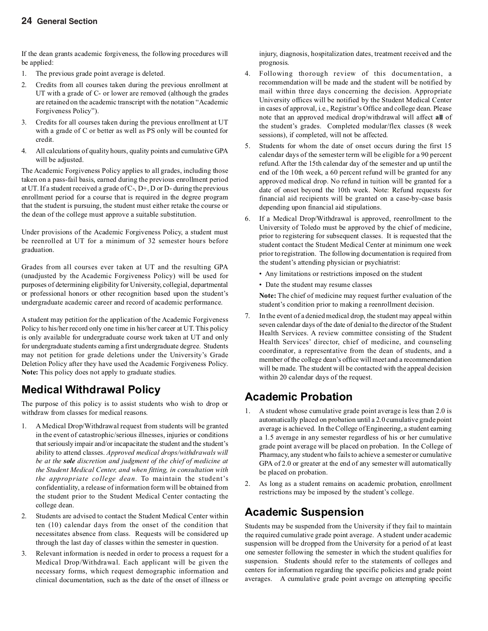If the dean grants academic forgiveness, the following procedures will be applied:

- 1. The previous grade point average is deleted.
- 2. Credits from all courses taken during the previous enrollment at UT with a grade of C- or lower are removed (although the grades are retained on the academic transcript with the notation "Academic Forgiveness Policy").
- 3. Credits for all courses taken during the previous enrollment at UT with a grade of C or better as well as PS only will be counted for credit.
- 4. All calculations of quality hours, quality points and cumulative GPA will be adjusted.

The Academic Forgiveness Policy applies to all grades, including those taken on a pass-fail basis, earned during the previous enrollment period at UT. If a student received a grade of C-, D+, D or D- during the previous enrollment period for a course that is required in the degree program that the student is pursuing, the student must either retake the course or the dean of the college must approve a suitable substitution.

Under provisions of the Academic Forgiveness Policy, a student must be reenrolled at UT for a minimum of 32 semester hours before graduation.

Grades from all courses ever taken at UT and the resulting GPA (unadjusted by the Academic Forgiveness Policy) will be used for purposes of determining eligibility for University, collegial, departmental or professional honors or other recognition based upon the student's undergraduate academic career and record of academic performance.

A student may petition for the application of the Academic Forgiveness Policy to his/her record only one time in his/her career at UT. This policy is only available for undergraduate course work taken at UT and only for undergraduate students earning a first undergraduate degree. Students may not petition for grade deletions under the University's Grade Deletion Policy after they have used the Academic Forgiveness Policy. **Note:** This policy does not apply to graduate studies.

# **Medical Withdrawal Policy**

The purpose of this policy is to assist students who wish to drop or withdraw from classes for medical reasons.

- 1. A Medical Drop/Withdrawal request from students will be granted in the event of catastrophic/serious illnesses, injuries or conditions that seriously impair and/or incapacitate the student and the student's ability to attend classes. *Approved medical drops/withdrawals will be at the sole discretion and judgment of the chief of medicine at the Student Medical Center, and when fitting, in consultation with the appropriate college dean.* To maintain the student's confidentiality, a release of information form will be obtained from the student prior to the Student Medical Center contacting the college dean.
- 2. Students are advised to contact the Student Medical Center within ten (10) calendar days from the onset of the condition that necessitates absence from class. Requests will be considered up through the last day of classes within the semester in question.
- 3. Relevant information is needed in order to process a request for a Medical Drop/Withdrawal. Each applicant will be given the necessary forms, which request demographic information and clinical documentation, such as the date of the onset of illness or

injury, diagnosis, hospitalization dates, treatment received and the prognosis.

- 4. Following thorough review of this documentation, a recommendation will be made and the student will be notified by mail within three days concerning the decision. Appropriate University offices will be notified by the Student Medical Center in cases of approval, i.e., Registrar's Office and college dean. Please note that an approved medical drop/withdrawal will affect **all** of the student's grades. Completed modular/flex classes (8 week sessions), if completed, will not be affected.
- 5. Students for whom the date of onset occurs during the first 15 calendar days of the semester term will be eligible for a 90 percent refund. After the 15th calendar day of the semester and up until the end of the 10th week, a 60 percent refund will be granted for any approved medical drop. No refund in tuition will be granted for a date of onset beyond the 10th week. Note: Refund requests for financial aid recipients will be granted on a case-by-case basis depending upon financial aid stipulations.
- 6. If a Medical Drop/Withdrawal is approved, reenrollment to the University of Toledo must be approved by the chief of medicine, prior to registering for subsequent classes. It is requested that the student contact the Student Medical Center at minimum one week prior to registration. The following documentation is required from the student's attending physician or psychiatrist:
	- Any limitations or restrictions imposed on the student
	- Date the student may resume classes

**Note:** The chief of medicine may request further evaluation of the student's condition prior to making a reenrollment decision.

7. In the event of a denied medical drop, the student may appeal within seven calendar days of the date of denial to the director of the Student Health Services. A review committee consisting of the Student Health Services' director, chief of medicine, and counseling coordinator, a representative from the dean of students, and a member of the college dean's office will meet and a recommendation will be made. The student will be contacted with the appeal decision within 20 calendar days of the request.

### **Academic Probation**

- 1. A student whose cumulative grade point average is less than 2.0 is automatically placed on probation until a 2.0 cumulative grade point average is achieved. In the College of Engineering, a student earning a 1.5 average in any semester regardless of his or her cumulative grade point average will be placed on probation. In the College of Pharmacy, any student who fails to achieve a semester or cumulative GPA of 2.0 or greater at the end of any semester will automatically be placed on probation.
- 2. As long as a student remains on academic probation, enrollment restrictions may be imposed by the student's college.

## **Academic Suspension**

Students may be suspended from the University if they fail to maintain the required cumulative grade point average. A student under academic suspension will be dropped from the University for a period of at least one semester following the semester in which the student qualifies for suspension. Students should refer to the statements of colleges and centers for information regarding the specific policies and grade point averages. A cumulative grade point average on attempting specific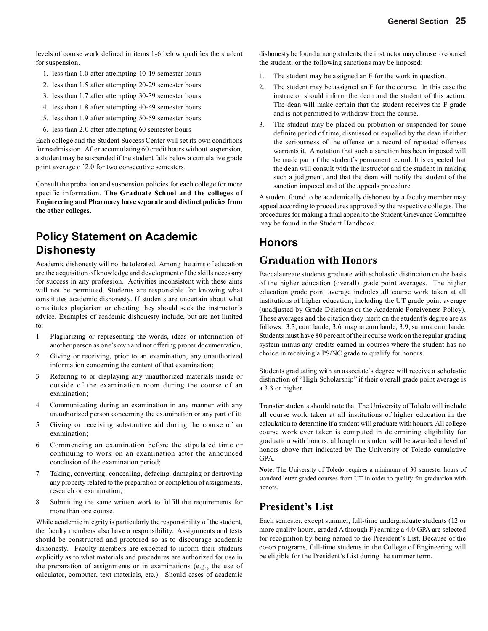levels of course work defined in items 1-6 below qualifies the student for suspension.

- 1. less than 1.0 after attempting 10-19 semester hours
- 2. less than 1.5 after attempting 20-29 semester hours
- 3. less than 1.7 after attempting 30-39 semester hours
- 4. less than 1.8 after attempting 40-49 semester hours
- 5. less than 1.9 after attempting 50-59 semester hours
- 6. less than 2.0 after attempting 60 semester hours

Each college and the Student Success Center will set its own conditions for readmission. After accumulating 60 credit hours without suspension, a student may be suspended if the student falls below a cumulative grade point average of 2.0 for two consecutive semesters.

Consult the probation and suspension policies for each college for more specific information. **The Graduate School and the colleges of Engineering and Pharmacy have separate and distinct policies from the other colleges.**

## **Policy Statement on Academic Dishonesty**

Academic dishonesty will not be tolerated. Among the aims of education are the acquisition of knowledge and development of the skills necessary for success in any profession. Activities inconsistent with these aims will not be permitted. Students are responsible for knowing what constitutes academic dishonesty. If students are uncertain about what constitutes plagiarism or cheating they should seek the instructor's advice. Examples of academic dishonesty include, but are not limited to:

- 1. Plagiarizing or representing the words, ideas or information of another person as one's own and not offering proper documentation;
- 2. Giving or receiving, prior to an examination, any unauthorized information concerning the content of that examination;
- 3. Referring to or displaying any unauthorized materials inside or outside of the examination room during the course of an examination;
- 4. Communicating during an examination in any manner with any unauthorized person concerning the examination or any part of it;
- 5. Giving or receiving substantive aid during the course of an examination;
- 6. Commencing an examination before the stipulated time or continuing to work on an examination after the announced conclusion of the examination period;
- 7. Taking, converting, concealing, defacing, damaging or destroying any property related to the preparation or completion of assignments, research or examination;
- 8. Submitting the same written work to fulfill the requirements for more than one course.

While academic integrity is particularly the responsibility of the student, the faculty members also have a responsibility. Assignments and tests should be constructed and proctored so as to discourage academic dishonesty. Faculty members are expected to inform their students explicitly as to what materials and procedures are authorized for use in the preparation of assignments or in examinations (e.g., the use of calculator, computer, text materials, etc.). Should cases of academic

dishonesty be found among students, the instructor may choose to counsel the student, or the following sanctions may be imposed:

- 1. The student may be assigned an F for the work in question.
- 2. The student may be assigned an F for the course. In this case the instructor should inform the dean and the student of this action. The dean will make certain that the student receives the F grade and is not permitted to withdraw from the course.
- 3. The student may be placed on probation or suspended for some definite period of time, dismissed or expelled by the dean if either the seriousness of the offense or a record of repeated offenses warrants it. A notation that such a sanction has been imposed will be made part of the student's permanent record. It is expected that the dean will consult with the instructor and the student in making such a judgment, and that the dean will notify the student of the sanction imposed and of the appeals procedure.

A student found to be academically dishonest by a faculty member may appeal according to procedures approved by the respective colleges. The procedures for making a final appeal to the Student Grievance Committee may be found in the Student Handbook.

### **Honors**

### **Graduation with Honors**

Baccalaureate students graduate with scholastic distinction on the basis of the higher education (overall) grade point averages. The higher education grade point average includes all course work taken at all institutions of higher education, including the UT grade point average (unadjusted by Grade Deletions or the Academic Forgiveness Policy). These averages and the citation they merit on the student's degree are as follows: 3.3, cum laude; 3.6, magna cum laude; 3.9, summa cum laude. Students must have 80 percent of their course work on the regular grading system minus any credits earned in courses where the student has no choice in receiving a PS/NC grade to qualify for honors.

Students graduating with an associate's degree will receive a scholastic distinction of "High Scholarship" if their overall grade point average is a 3.3 or higher.

Transfer students should note that The University of Toledo will include all course work taken at all institutions of higher education in the calculation to determine if a student will graduate with honors. All college course work ever taken is computed in determining eligibility for graduation with honors, although no student will be awarded a level of honors above that indicated by The University of Toledo cumulative GPA.

**Note:** The University of Toledo requires a minimum of 30 semester hours of standard letter graded courses from UT in order to qualify for graduation with honors.

### **President's List**

Each semester, except summer, full-time undergraduate students (12 or more quality hours, graded A through F) earning a 4.0 GPA are selected for recognition by being named to the President's List. Because of the co-op programs, full-time students in the College of Engineering will be eligible for the President's List during the summer term.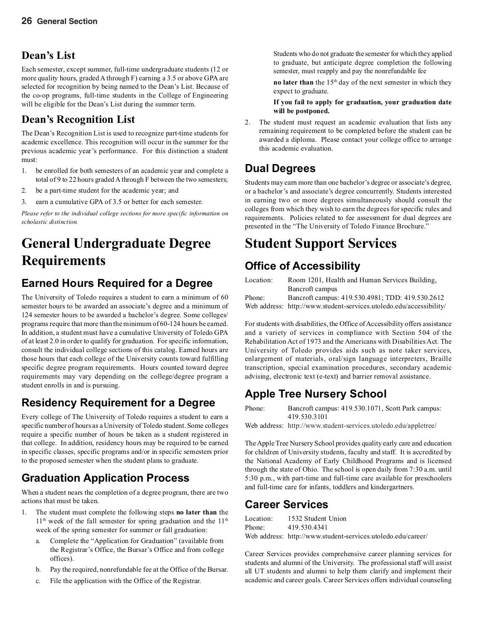### **Dean's List**

Each semester, except summer, full-time undergraduate students (12 or more quality hours, graded A through F) earning a 3.5 or above GPA are selected for recognition by being named to the Dean's List. Because of the co-op programs, full-time students in the College of Engineering will be eligible for the Dean's List during the summer term.

## **Dean's Recognition List**

The Dean's Recognition List is used to recognize part-time students for academic excellence. This recognition will occur in the summer for the previous academic year's performance. For this distinction a student must:

- 1. be enrolled for both semesters of an academic year and complete a total of 9 to 22 hours graded A through F between the two semesters;
- 2. be a part-time student for the academic year; and
- 3. earn a cumulative GPA of 3.5 or better for each semester.

*Please refer to the individual college sections for more specific information on scholastic distinction.*

# **General Undergraduate Degree Requirements**

## **Earned Hours Required for a Degree**

The University of Toledo requires a student to earn a minimum of 60 semester hours to be awarded an associate's degree and a minimum of 124 semester hours to be awarded a bachelor's degree. Some colleges/ programs require that more than the minimum of 60-124 hours be earned. In addition, a student must have a cumulative University of Toledo GPA of at least 2.0 in order to qualify for graduation. For specific information, consult the individual college sections of this catalog. Earned hours are those hours that each college of the University counts toward fulfilling specific degree program requirements. Hours counted toward degree requirements may vary depending on the college/degree program a student enrolls in and is pursuing.

## **Residency Requirement for a Degree**

Every college of The University of Toledo requires a student to earn a specific number of hours as a University of Toledo student. Some colleges require a specific number of hours be taken as a student registered in that college. In addition, residency hours may be required to be earned in specific classes, specific programs and/or in specific semesters prior to the proposed semester when the student plans to graduate.

# **Graduation Application Process**

When a student nears the completion of a degree program, there are two actions that must be taken.

- 1. The student must complete the following steps **no later than** the  $11<sup>th</sup>$  week of the fall semester for spring graduation and the  $11<sup>th</sup>$ week of the spring semester for summer or fall graduation:
	- a. Complete the "Application for Graduation" (available from the Registrar's Office, the Bursar's Office and from college offices).
	- b. Pay the required, nonrefundable fee at the Office of the Bursar.
	- c. File the application with the Office of the Registrar.

Students who do not graduate the semester for which they applied to graduate, but anticipate degree completion the following semester, must reapply and pay the nonrefundable fee

**no later than** the 15<sup>th</sup> day of the next semester in which they expect to graduate.

**If you fail to apply for graduation, your graduation date will be postponed.**

2. The student must request an academic evaluation that lists any remaining requirement to be completed before the student can be awarded a diploma. Please contact your college office to arrange this academic evaluation.

## **Dual Degrees**

Students may earn more than one bachelor's degree or associate's degree, or a bachelor's and associate's degree concurrently. Students interested in earning two or more degrees simultaneously should consult the colleges from which they wish to earn the degrees for specific rules and requirements. Policies related to fee assessment for dual degrees are presented in the "The University of Toledo Finance Brochure."

# **Student Support Services**

## **Office of Accessibility**

| Room 1201, Health and Human Services Building,                      |
|---------------------------------------------------------------------|
| Bancroft campus                                                     |
| Bancroft campus: 419.530.4981; TDD: 419.530.2612                    |
| Web address: http://www.student-services.utoledo.edu/accessibility/ |
|                                                                     |

For students with disabilities, the Office of Accessibility offers assistance and a variety of services in compliance with Section 504 of the Rehabilitation Act of 1973 and the Americans with Disabilities Act. The University of Toledo provides aids such as note taker services, enlargement of materials, oral/sign language interpreters, Braille transcription, special examination procedures, secondary academic advising, electronic text (e-text) and barrier removal assistance.

# **Apple Tree Nursery School**

Phone: Bancroft campus: 419.530.1071, Scott Park campus: 419.530.3101

Web address: http://www.student-services.utoledo.edu/appletree/

The Apple Tree Nursery School provides quality early care and education for children of University students, faculty and staff. It is accredited by the National Academy of Early Childhood Programs and is licensed through the state of Ohio. The school is open daily from 7:30 a.m. until 5:30 p.m., with part-time and full-time care available for preschoolers and full-time care for infants, toddlers and kindergartners.

### **Career Services**

| Location: | 1532 Student Union                                           |
|-----------|--------------------------------------------------------------|
| Phone:    | 419.530.4341                                                 |
|           | Web address: http://www.student-services.utoledo.edu/career/ |

Career Services provides comprehensive career planning services for students and alumni of the University. The professional staff will assist all UT students and alumni to help them clarify and implement their academic and career goals. Career Services offers individual counseling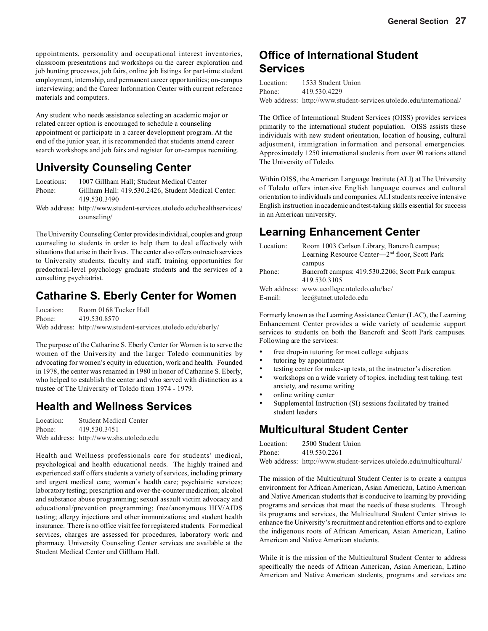appointments, personality and occupational interest inventories, classroom presentations and workshops on the career exploration and job hunting processes, job fairs, online job listings for part-time student employment, internship, and permanent career opportunities; on-campus interviewing; and the Career Information Center with current reference materials and computers.

Any student who needs assistance selecting an academic major or related career option is encouraged to schedule a counseling appointment or participate in a career development program. At the end of the junior year, it is recommended that students attend career search workshops and job fairs and register for on-campus recruiting.

### **University Counseling Center**

Locations: 1007 Gillham Hall; Student Medical Center Phone: Gillham Hall: 419.530.2426, Student Medical Center: 419.530.3490

Web address: http://www.student-services.utoledo.edu/healthservices/ counseling/

The University Counseling Center provides individual, couples and group counseling to students in order to help them to deal effectively with situations that arise in their lives. The center also offers outreach services to University students, faculty and staff, training opportunities for predoctoral-level psychology graduate students and the services of a consulting psychiatrist.

### **Catharine S. Eberly Center for Women**

Location: Room 0168 Tucker Hall Phone: 419.530.8570 Web address: http://www.student-services.utoledo.edu/eberly/

The purpose of the Catharine S. Eberly Center for Women is to serve the women of the University and the larger Toledo communities by advocating for women's equity in education, work and health. Founded in 1978, the center was renamed in 1980 in honor of Catharine S. Eberly, who helped to establish the center and who served with distinction as a trustee of The University of Toledo from 1974 - 1979.

### **Health and Wellness Services**

Location: Student Medical Center Phone: 419.530.3451 Web address: http://www.shs.utoledo.edu

Health and Wellness professionals care for students' medical, psychological and health educational needs. The highly trained and experienced staff offers students a variety of services, including primary and urgent medical care; women's health care; psychiatric services; laboratory testing; prescription and over-the-counter medication; alcohol and substance abuse programming; sexual assault victim advocacy and educational/prevention programming; free/anonymous HIV/AIDS testing; allergy injections and other immunizations; and student health insurance. There is no office visit fee for registered students. For medical services, charges are assessed for procedures, laboratory work and pharmacy. University Counseling Center services are available at the Student Medical Center and Gillham Hall.

### **Office of International Student Services**

| Location: | 1533 Student Union                                                  |
|-----------|---------------------------------------------------------------------|
| Phone:    | 419.530.4229                                                        |
|           | Web address: http://www.student-services.utoledo.edu/international/ |

The Office of International Student Services (OISS) provides services primarily to the international student population. OISS assists these individuals with new student orientation, location of housing, cultural adjustment, immigration information and personal emergencies. Approximately 1250 international students from over 90 nations attend The University of Toledo.

Within OISS, the American Language Institute (ALI) at The University of Toledo offers intensive English language courses and cultural orientation to individuals and companies. ALI students receive intensive English instruction in academic and test-taking skills essential for success in an American university.

## **Learning Enhancement Center**

| Room 1003 Carlson Library, Bancroft campus;                |
|------------------------------------------------------------|
| Learning Resource Center—2 <sup>nd</sup> floor, Scott Park |
| campus                                                     |
| Bancroft campus: 419.530.2206; Scott Park campus:          |
| 419.530.3105                                               |
| Web address: www.ucollege.utoledo.edu/lac/                 |
| $lec@$ utnet.utoledo.edu                                   |
|                                                            |

Formerly known as the Learning Assistance Center (LAC), the Learning Enhancement Center provides a wide variety of academic support services to students on both the Bancroft and Scott Park campuses. Following are the services:

- free drop-in tutoring for most college subjects
- tutoring by appointment
- testing center for make-up tests, at the instructor's discretion
- workshops on a wide variety of topics, including test taking, test anxiety, and resume writing
- online writing center
- Supplemental Instruction (SI) sessions facilitated by trained student leaders

### **Multicultural Student Center**

| Location: | 2500 Student Union                                                  |
|-----------|---------------------------------------------------------------------|
| Phone:    | 419.530.2261                                                        |
|           | Web address: http://www.student-services.utoledo.edu/multicultural/ |

The mission of the Multicultural Student Center is to create a campus environment for African American, Asian American, Latino American and Native American students that is conducive to learning by providing programs and services that meet the needs of these students. Through its programs and services, the Multicultural Student Center strives to enhance the University's recruitment and retention efforts and to explore the indigenous roots of African American, Asian American, Latino American and Native American students.

While it is the mission of the Multicultural Student Center to address specifically the needs of African American, Asian American, Latino American and Native American students, programs and services are